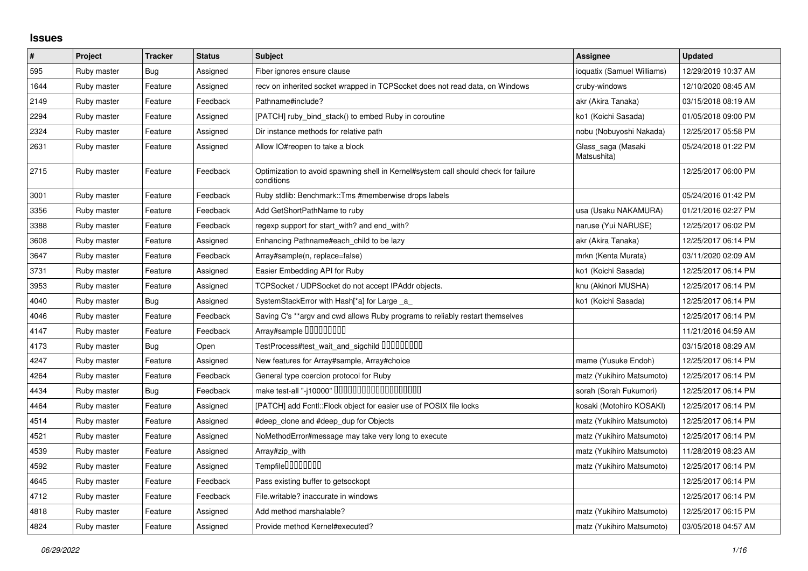## **Issues**

| $\vert$ # | Project     | <b>Tracker</b> | <b>Status</b> | <b>Subject</b>                                                                                    | <b>Assignee</b>                   | <b>Updated</b>      |
|-----------|-------------|----------------|---------------|---------------------------------------------------------------------------------------------------|-----------------------------------|---------------------|
| 595       | Ruby master | Bug            | Assigned      | Fiber ignores ensure clause                                                                       | ioquatix (Samuel Williams)        | 12/29/2019 10:37 AM |
| 1644      | Ruby master | Feature        | Assigned      | recv on inherited socket wrapped in TCPSocket does not read data, on Windows                      | cruby-windows                     | 12/10/2020 08:45 AM |
| 2149      | Ruby master | Feature        | Feedback      | Pathname#include?                                                                                 | akr (Akira Tanaka)                | 03/15/2018 08:19 AM |
| 2294      | Ruby master | Feature        | Assigned      | [PATCH] ruby_bind_stack() to embed Ruby in coroutine                                              | ko1 (Koichi Sasada)               | 01/05/2018 09:00 PM |
| 2324      | Ruby master | Feature        | Assigned      | Dir instance methods for relative path                                                            | nobu (Nobuyoshi Nakada)           | 12/25/2017 05:58 PM |
| 2631      | Ruby master | Feature        | Assigned      | Allow IO#reopen to take a block                                                                   | Glass_saga (Masaki<br>Matsushita) | 05/24/2018 01:22 PM |
| 2715      | Ruby master | Feature        | Feedback      | Optimization to avoid spawning shell in Kernel#system call should check for failure<br>conditions |                                   | 12/25/2017 06:00 PM |
| 3001      | Ruby master | Feature        | Feedback      | Ruby stdlib: Benchmark::Tms #memberwise drops labels                                              |                                   | 05/24/2016 01:42 PM |
| 3356      | Ruby master | Feature        | Feedback      | Add GetShortPathName to ruby                                                                      | usa (Usaku NAKAMURA)              | 01/21/2016 02:27 PM |
| 3388      | Ruby master | Feature        | Feedback      | regexp support for start_with? and end_with?                                                      | naruse (Yui NARUSE)               | 12/25/2017 06:02 PM |
| 3608      | Ruby master | Feature        | Assigned      | Enhancing Pathname#each child to be lazy                                                          | akr (Akira Tanaka)                | 12/25/2017 06:14 PM |
| 3647      | Ruby master | Feature        | Feedback      | Array#sample(n, replace=false)                                                                    | mrkn (Kenta Murata)               | 03/11/2020 02:09 AM |
| 3731      | Ruby master | Feature        | Assigned      | Easier Embedding API for Ruby                                                                     | ko1 (Koichi Sasada)               | 12/25/2017 06:14 PM |
| 3953      | Ruby master | Feature        | Assigned      | TCPSocket / UDPSocket do not accept IPAddr objects.                                               | knu (Akinori MUSHA)               | 12/25/2017 06:14 PM |
| 4040      | Ruby master | Bug            | Assigned      | SystemStackError with Hash[*a] for Large _a                                                       | ko1 (Koichi Sasada)               | 12/25/2017 06:14 PM |
| 4046      | Ruby master | Feature        | Feedback      | Saving C's ** argv and cwd allows Ruby programs to reliably restart themselves                    |                                   | 12/25/2017 06:14 PM |
| 4147      | Ruby master | Feature        | Feedback      | Array#sample 000000000                                                                            |                                   | 11/21/2016 04:59 AM |
| 4173      | Ruby master | Bug            | Open          | TestProcess#test_wait_and_sigchild DDDDDDDD                                                       |                                   | 03/15/2018 08:29 AM |
| 4247      | Ruby master | Feature        | Assigned      | New features for Array#sample, Array#choice                                                       | mame (Yusuke Endoh)               | 12/25/2017 06:14 PM |
| 4264      | Ruby master | Feature        | Feedback      | General type coercion protocol for Ruby                                                           | matz (Yukihiro Matsumoto)         | 12/25/2017 06:14 PM |
| 4434      | Ruby master | Bug            | Feedback      | make test-all "-j10000" 0000000000000000000                                                       | sorah (Sorah Fukumori)            | 12/25/2017 06:14 PM |
| 4464      | Ruby master | Feature        | Assigned      | [PATCH] add Fcntl:: Flock object for easier use of POSIX file locks                               | kosaki (Motohiro KOSAKI)          | 12/25/2017 06:14 PM |
| 4514      | Ruby master | Feature        | Assigned      | #deep_clone and #deep_dup for Objects                                                             | matz (Yukihiro Matsumoto)         | 12/25/2017 06:14 PM |
| 4521      | Ruby master | Feature        | Assigned      | NoMethodError#message may take very long to execute                                               | matz (Yukihiro Matsumoto)         | 12/25/2017 06:14 PM |
| 4539      | Ruby master | Feature        | Assigned      | Array#zip_with                                                                                    | matz (Yukihiro Matsumoto)         | 11/28/2019 08:23 AM |
| 4592      | Ruby master | Feature        | Assigned      | Tempfile0000000                                                                                   | matz (Yukihiro Matsumoto)         | 12/25/2017 06:14 PM |
| 4645      | Ruby master | Feature        | Feedback      | Pass existing buffer to getsockopt                                                                |                                   | 12/25/2017 06:14 PM |
| 4712      | Ruby master | Feature        | Feedback      | File.writable? inaccurate in windows                                                              |                                   | 12/25/2017 06:14 PM |
| 4818      | Ruby master | Feature        | Assigned      | Add method marshalable?                                                                           | matz (Yukihiro Matsumoto)         | 12/25/2017 06:15 PM |
| 4824      | Ruby master | Feature        | Assigned      | Provide method Kernel#executed?                                                                   | matz (Yukihiro Matsumoto)         | 03/05/2018 04:57 AM |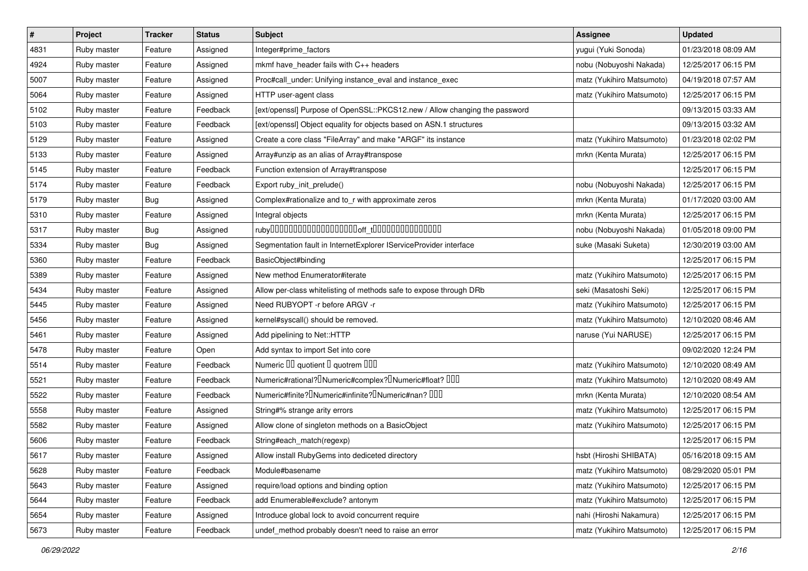| $\sharp$ | Project     | <b>Tracker</b> | <b>Status</b> | Subject                                                                                       | <b>Assignee</b>           | <b>Updated</b>      |
|----------|-------------|----------------|---------------|-----------------------------------------------------------------------------------------------|---------------------------|---------------------|
| 4831     | Ruby master | Feature        | Assigned      | Integer#prime_factors                                                                         | yugui (Yuki Sonoda)       | 01/23/2018 08:09 AM |
| 4924     | Ruby master | Feature        | Assigned      | mkmf have_header fails with C++ headers                                                       | nobu (Nobuyoshi Nakada)   | 12/25/2017 06:15 PM |
| 5007     | Ruby master | Feature        | Assigned      | Proc#call_under: Unifying instance_eval and instance_exec                                     | matz (Yukihiro Matsumoto) | 04/19/2018 07:57 AM |
| 5064     | Ruby master | Feature        | Assigned      | HTTP user-agent class                                                                         | matz (Yukihiro Matsumoto) | 12/25/2017 06:15 PM |
| 5102     | Ruby master | Feature        | Feedback      | [ext/openssl] Purpose of OpenSSL::PKCS12.new / Allow changing the password                    |                           | 09/13/2015 03:33 AM |
| 5103     | Ruby master | Feature        | Feedback      | [ext/openssl] Object equality for objects based on ASN.1 structures                           |                           | 09/13/2015 03:32 AM |
| 5129     | Ruby master | Feature        | Assigned      | Create a core class "FileArray" and make "ARGF" its instance                                  | matz (Yukihiro Matsumoto) | 01/23/2018 02:02 PM |
| 5133     | Ruby master | Feature        | Assigned      | Array#unzip as an alias of Array#transpose                                                    | mrkn (Kenta Murata)       | 12/25/2017 06:15 PM |
| 5145     | Ruby master | Feature        | Feedback      | Function extension of Array#transpose                                                         |                           | 12/25/2017 06:15 PM |
| 5174     | Ruby master | Feature        | Feedback      | Export ruby_init_prelude()                                                                    | nobu (Nobuyoshi Nakada)   | 12/25/2017 06:15 PM |
| 5179     | Ruby master | Bug            | Assigned      | Complex#rationalize and to_r with approximate zeros                                           | mrkn (Kenta Murata)       | 01/17/2020 03:00 AM |
| 5310     | Ruby master | Feature        | Assigned      | Integral objects                                                                              | mrkn (Kenta Murata)       | 12/25/2017 06:15 PM |
| 5317     | Ruby master | Bug            | Assigned      |                                                                                               | nobu (Nobuyoshi Nakada)   | 01/05/2018 09:00 PM |
| 5334     | Ruby master | Bug            | Assigned      | Segmentation fault in InternetExplorer IServiceProvider interface                             | suke (Masaki Suketa)      | 12/30/2019 03:00 AM |
| 5360     | Ruby master | Feature        | Feedback      | BasicObject#binding                                                                           |                           | 12/25/2017 06:15 PM |
| 5389     | Ruby master | Feature        | Assigned      | New method Enumerator#iterate                                                                 | matz (Yukihiro Matsumoto) | 12/25/2017 06:15 PM |
| 5434     | Ruby master | Feature        | Assigned      | Allow per-class whitelisting of methods safe to expose through DRb                            | seki (Masatoshi Seki)     | 12/25/2017 06:15 PM |
| 5445     | Ruby master | Feature        | Assigned      | Need RUBYOPT - r before ARGV - r                                                              | matz (Yukihiro Matsumoto) | 12/25/2017 06:15 PM |
| 5456     | Ruby master | Feature        | Assigned      | kernel#syscall() should be removed.                                                           | matz (Yukihiro Matsumoto) | 12/10/2020 08:46 AM |
| 5461     | Ruby master | Feature        | Assigned      | Add pipelining to Net::HTTP                                                                   | naruse (Yui NARUSE)       | 12/25/2017 06:15 PM |
| 5478     | Ruby master | Feature        | Open          | Add syntax to import Set into core                                                            |                           | 09/02/2020 12:24 PM |
| 5514     | Ruby master | Feature        | Feedback      | Numeric III quotient II quotrem IIII                                                          | matz (Yukihiro Matsumoto) | 12/10/2020 08:49 AM |
| 5521     | Ruby master | Feature        | Feedback      | Numeric#rational? <sup>[</sup> ]Numeric#complex? <sup>[]</sup> Numeric#float? <sup>[10]</sup> | matz (Yukihiro Matsumoto) | 12/10/2020 08:49 AM |
| 5522     | Ruby master | Feature        | Feedback      | Numeric#finite? <sup>[]</sup> Numeric#infinite? <sup>[]</sup> Numeric#nan? <sup>[10]</sup>    | mrkn (Kenta Murata)       | 12/10/2020 08:54 AM |
| 5558     | Ruby master | Feature        | Assigned      | String#% strange arity errors                                                                 | matz (Yukihiro Matsumoto) | 12/25/2017 06:15 PM |
| 5582     | Ruby master | Feature        | Assigned      | Allow clone of singleton methods on a BasicObject                                             | matz (Yukihiro Matsumoto) | 12/25/2017 06:15 PM |
| 5606     | Ruby master | Feature        | Feedback      | String#each_match(regexp)                                                                     |                           | 12/25/2017 06:15 PM |
| 5617     | Ruby master | Feature        | Assigned      | Allow install RubyGems into dediceted directory                                               | hsbt (Hiroshi SHIBATA)    | 05/16/2018 09:15 AM |
| 5628     | Ruby master | Feature        | Feedback      | Module#basename                                                                               | matz (Yukihiro Matsumoto) | 08/29/2020 05:01 PM |
| 5643     | Ruby master | Feature        | Assigned      | require/load options and binding option                                                       | matz (Yukihiro Matsumoto) | 12/25/2017 06:15 PM |
| 5644     | Ruby master | Feature        | Feedback      | add Enumerable#exclude? antonym                                                               | matz (Yukihiro Matsumoto) | 12/25/2017 06:15 PM |
| 5654     | Ruby master | Feature        | Assigned      | Introduce global lock to avoid concurrent require                                             | nahi (Hiroshi Nakamura)   | 12/25/2017 06:15 PM |
| 5673     | Ruby master | Feature        | Feedback      | undef_method probably doesn't need to raise an error                                          | matz (Yukihiro Matsumoto) | 12/25/2017 06:15 PM |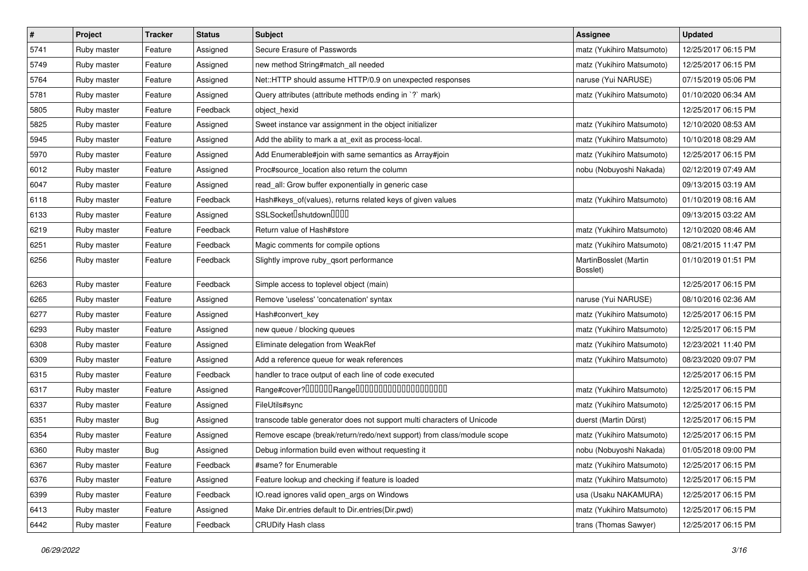| $\vert$ # | Project     | <b>Tracker</b> | <b>Status</b> | Subject                                                                | <b>Assignee</b>                   | <b>Updated</b>      |
|-----------|-------------|----------------|---------------|------------------------------------------------------------------------|-----------------------------------|---------------------|
| 5741      | Ruby master | Feature        | Assigned      | Secure Erasure of Passwords                                            | matz (Yukihiro Matsumoto)         | 12/25/2017 06:15 PM |
| 5749      | Ruby master | Feature        | Assigned      | new method String#match_all needed                                     | matz (Yukihiro Matsumoto)         | 12/25/2017 06:15 PM |
| 5764      | Ruby master | Feature        | Assigned      | Net::HTTP should assume HTTP/0.9 on unexpected responses               | naruse (Yui NARUSE)               | 07/15/2019 05:06 PM |
| 5781      | Ruby master | Feature        | Assigned      | Query attributes (attribute methods ending in `?` mark)                | matz (Yukihiro Matsumoto)         | 01/10/2020 06:34 AM |
| 5805      | Ruby master | Feature        | Feedback      | object_hexid                                                           |                                   | 12/25/2017 06:15 PM |
| 5825      | Ruby master | Feature        | Assigned      | Sweet instance var assignment in the object initializer                | matz (Yukihiro Matsumoto)         | 12/10/2020 08:53 AM |
| 5945      | Ruby master | Feature        | Assigned      | Add the ability to mark a at_exit as process-local.                    | matz (Yukihiro Matsumoto)         | 10/10/2018 08:29 AM |
| 5970      | Ruby master | Feature        | Assigned      | Add Enumerable#join with same semantics as Array#join                  | matz (Yukihiro Matsumoto)         | 12/25/2017 06:15 PM |
| 6012      | Ruby master | Feature        | Assigned      | Proc#source_location also return the column                            | nobu (Nobuyoshi Nakada)           | 02/12/2019 07:49 AM |
| 6047      | Ruby master | Feature        | Assigned      | read_all: Grow buffer exponentially in generic case                    |                                   | 09/13/2015 03:19 AM |
| 6118      | Ruby master | Feature        | Feedback      | Hash#keys_of(values), returns related keys of given values             | matz (Yukihiro Matsumoto)         | 01/10/2019 08:16 AM |
| 6133      | Ruby master | Feature        | Assigned      | SSLSocket <sup>[</sup> shutdown <sup>[11]</sup>                        |                                   | 09/13/2015 03:22 AM |
| 6219      | Ruby master | Feature        | Feedback      | Return value of Hash#store                                             | matz (Yukihiro Matsumoto)         | 12/10/2020 08:46 AM |
| 6251      | Ruby master | Feature        | Feedback      | Magic comments for compile options                                     | matz (Yukihiro Matsumoto)         | 08/21/2015 11:47 PM |
| 6256      | Ruby master | Feature        | Feedback      | Slightly improve ruby_qsort performance                                | MartinBosslet (Martin<br>Bosslet) | 01/10/2019 01:51 PM |
| 6263      | Ruby master | Feature        | Feedback      | Simple access to toplevel object (main)                                |                                   | 12/25/2017 06:15 PM |
| 6265      | Ruby master | Feature        | Assigned      | Remove 'useless' 'concatenation' syntax                                | naruse (Yui NARUSE)               | 08/10/2016 02:36 AM |
| 6277      | Ruby master | Feature        | Assigned      | Hash#convert key                                                       | matz (Yukihiro Matsumoto)         | 12/25/2017 06:15 PM |
| 6293      | Ruby master | Feature        | Assigned      | new queue / blocking queues                                            | matz (Yukihiro Matsumoto)         | 12/25/2017 06:15 PM |
| 6308      | Ruby master | Feature        | Assigned      | Eliminate delegation from WeakRef                                      | matz (Yukihiro Matsumoto)         | 12/23/2021 11:40 PM |
| 6309      | Ruby master | Feature        | Assigned      | Add a reference queue for weak references                              | matz (Yukihiro Matsumoto)         | 08/23/2020 09:07 PM |
| 6315      | Ruby master | Feature        | Feedback      | handler to trace output of each line of code executed                  |                                   | 12/25/2017 06:15 PM |
| 6317      | Ruby master | Feature        | Assigned      |                                                                        | matz (Yukihiro Matsumoto)         | 12/25/2017 06:15 PM |
| 6337      | Ruby master | Feature        | Assigned      | FileUtils#sync                                                         | matz (Yukihiro Matsumoto)         | 12/25/2017 06:15 PM |
| 6351      | Ruby master | <b>Bug</b>     | Assigned      | transcode table generator does not support multi characters of Unicode | duerst (Martin Dürst)             | 12/25/2017 06:15 PM |
| 6354      | Ruby master | Feature        | Assigned      | Remove escape (break/return/redo/next support) from class/module scope | matz (Yukihiro Matsumoto)         | 12/25/2017 06:15 PM |
| 6360      | Ruby master | <b>Bug</b>     | Assigned      | Debug information build even without requesting it                     | nobu (Nobuyoshi Nakada)           | 01/05/2018 09:00 PM |
| 6367      | Ruby master | Feature        | Feedback      | #same? for Enumerable                                                  | matz (Yukihiro Matsumoto)         | 12/25/2017 06:15 PM |
| 6376      | Ruby master | Feature        | Assigned      | Feature lookup and checking if feature is loaded                       | matz (Yukihiro Matsumoto)         | 12/25/2017 06:15 PM |
| 6399      | Ruby master | Feature        | Feedback      | IO.read ignores valid open_args on Windows                             | usa (Usaku NAKAMURA)              | 12/25/2017 06:15 PM |
| 6413      | Ruby master | Feature        | Assigned      | Make Dir.entries default to Dir.entries(Dir.pwd)                       | matz (Yukihiro Matsumoto)         | 12/25/2017 06:15 PM |
| 6442      | Ruby master | Feature        | Feedback      | <b>CRUDify Hash class</b>                                              | trans (Thomas Sawyer)             | 12/25/2017 06:15 PM |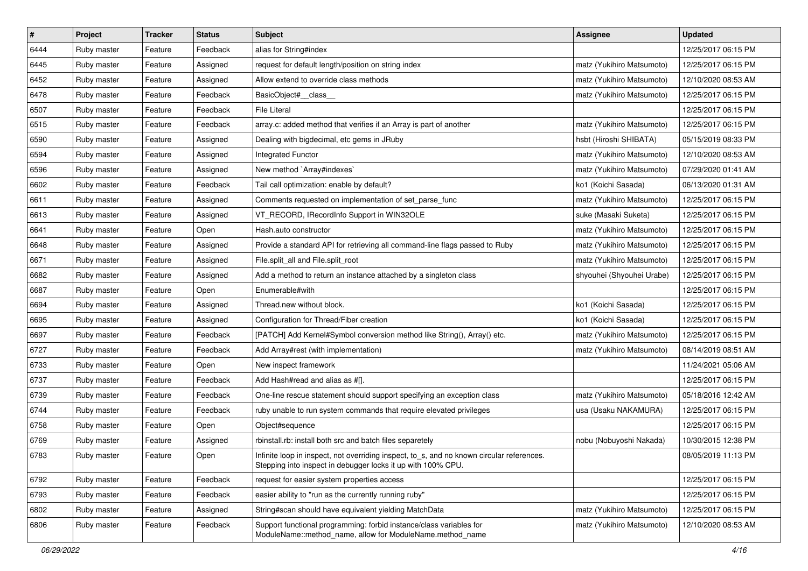| $\pmb{\#}$ | Project     | <b>Tracker</b> | <b>Status</b> | Subject                                                                                                                                                  | <b>Assignee</b>           | <b>Updated</b>      |
|------------|-------------|----------------|---------------|----------------------------------------------------------------------------------------------------------------------------------------------------------|---------------------------|---------------------|
| 6444       | Ruby master | Feature        | Feedback      | alias for String#index                                                                                                                                   |                           | 12/25/2017 06:15 PM |
| 6445       | Ruby master | Feature        | Assigned      | request for default length/position on string index                                                                                                      | matz (Yukihiro Matsumoto) | 12/25/2017 06:15 PM |
| 6452       | Ruby master | Feature        | Assigned      | Allow extend to override class methods                                                                                                                   | matz (Yukihiro Matsumoto) | 12/10/2020 08:53 AM |
| 6478       | Ruby master | Feature        | Feedback      | BasicObject#_class_                                                                                                                                      | matz (Yukihiro Matsumoto) | 12/25/2017 06:15 PM |
| 6507       | Ruby master | Feature        | Feedback      | File Literal                                                                                                                                             |                           | 12/25/2017 06:15 PM |
| 6515       | Ruby master | Feature        | Feedback      | array.c: added method that verifies if an Array is part of another                                                                                       | matz (Yukihiro Matsumoto) | 12/25/2017 06:15 PM |
| 6590       | Ruby master | Feature        | Assigned      | Dealing with bigdecimal, etc gems in JRuby                                                                                                               | hsbt (Hiroshi SHIBATA)    | 05/15/2019 08:33 PM |
| 6594       | Ruby master | Feature        | Assigned      | <b>Integrated Functor</b>                                                                                                                                | matz (Yukihiro Matsumoto) | 12/10/2020 08:53 AM |
| 6596       | Ruby master | Feature        | Assigned      | New method `Array#indexes`                                                                                                                               | matz (Yukihiro Matsumoto) | 07/29/2020 01:41 AM |
| 6602       | Ruby master | Feature        | Feedback      | Tail call optimization: enable by default?                                                                                                               | ko1 (Koichi Sasada)       | 06/13/2020 01:31 AM |
| 6611       | Ruby master | Feature        | Assigned      | Comments requested on implementation of set_parse_func                                                                                                   | matz (Yukihiro Matsumoto) | 12/25/2017 06:15 PM |
| 6613       | Ruby master | Feature        | Assigned      | VT_RECORD, IRecordInfo Support in WIN32OLE                                                                                                               | suke (Masaki Suketa)      | 12/25/2017 06:15 PM |
| 6641       | Ruby master | Feature        | Open          | Hash.auto constructor                                                                                                                                    | matz (Yukihiro Matsumoto) | 12/25/2017 06:15 PM |
| 6648       | Ruby master | Feature        | Assigned      | Provide a standard API for retrieving all command-line flags passed to Ruby                                                                              | matz (Yukihiro Matsumoto) | 12/25/2017 06:15 PM |
| 6671       | Ruby master | Feature        | Assigned      | File.split_all and File.split_root                                                                                                                       | matz (Yukihiro Matsumoto) | 12/25/2017 06:15 PM |
| 6682       | Ruby master | Feature        | Assigned      | Add a method to return an instance attached by a singleton class                                                                                         | shyouhei (Shyouhei Urabe) | 12/25/2017 06:15 PM |
| 6687       | Ruby master | Feature        | Open          | Enumerable#with                                                                                                                                          |                           | 12/25/2017 06:15 PM |
| 6694       | Ruby master | Feature        | Assigned      | Thread.new without block.                                                                                                                                | ko1 (Koichi Sasada)       | 12/25/2017 06:15 PM |
| 6695       | Ruby master | Feature        | Assigned      | Configuration for Thread/Fiber creation                                                                                                                  | ko1 (Koichi Sasada)       | 12/25/2017 06:15 PM |
| 6697       | Ruby master | Feature        | Feedback      | [PATCH] Add Kernel#Symbol conversion method like String(), Array() etc.                                                                                  | matz (Yukihiro Matsumoto) | 12/25/2017 06:15 PM |
| 6727       | Ruby master | Feature        | Feedback      | Add Array#rest (with implementation)                                                                                                                     | matz (Yukihiro Matsumoto) | 08/14/2019 08:51 AM |
| 6733       | Ruby master | Feature        | Open          | New inspect framework                                                                                                                                    |                           | 11/24/2021 05:06 AM |
| 6737       | Ruby master | Feature        | Feedback      | Add Hash#read and alias as #[].                                                                                                                          |                           | 12/25/2017 06:15 PM |
| 6739       | Ruby master | Feature        | Feedback      | One-line rescue statement should support specifying an exception class                                                                                   | matz (Yukihiro Matsumoto) | 05/18/2016 12:42 AM |
| 6744       | Ruby master | Feature        | Feedback      | ruby unable to run system commands that require elevated privileges                                                                                      | usa (Usaku NAKAMURA)      | 12/25/2017 06:15 PM |
| 6758       | Ruby master | Feature        | Open          | Object#sequence                                                                                                                                          |                           | 12/25/2017 06:15 PM |
| 6769       | Ruby master | Feature        | Assigned      | rbinstall.rb: install both src and batch files separetely                                                                                                | nobu (Nobuyoshi Nakada)   | 10/30/2015 12:38 PM |
| 6783       | Ruby master | Feature        | Open          | Infinite loop in inspect, not overriding inspect, to_s, and no known circular references<br>Stepping into inspect in debugger locks it up with 100% CPU. |                           | 08/05/2019 11:13 PM |
| 6792       | Ruby master | Feature        | Feedback      | request for easier system properties access                                                                                                              |                           | 12/25/2017 06:15 PM |
| 6793       | Ruby master | Feature        | Feedback      | easier ability to "run as the currently running ruby"                                                                                                    |                           | 12/25/2017 06:15 PM |
| 6802       | Ruby master | Feature        | Assigned      | String#scan should have equivalent yielding MatchData                                                                                                    | matz (Yukihiro Matsumoto) | 12/25/2017 06:15 PM |
| 6806       | Ruby master | Feature        | Feedback      | Support functional programming: forbid instance/class variables for<br>ModuleName::method_name, allow for ModuleName.method_name                         | matz (Yukihiro Matsumoto) | 12/10/2020 08:53 AM |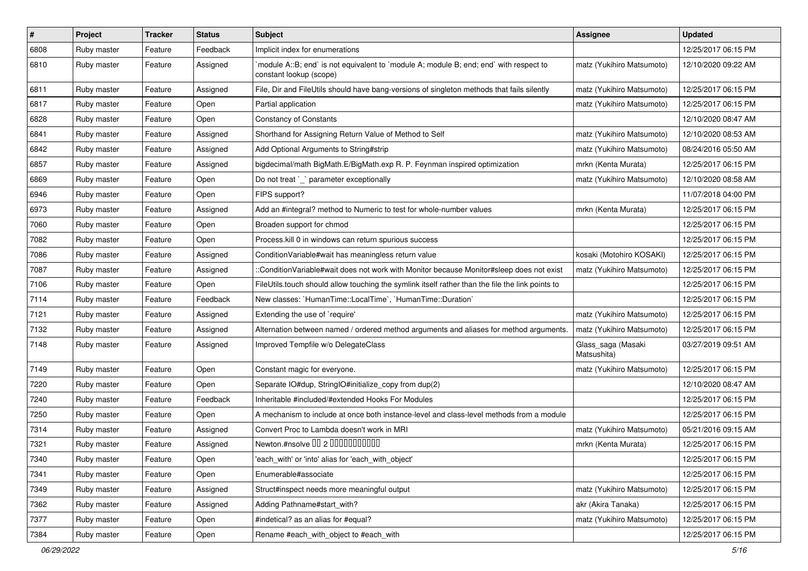| $\#$ | Project     | <b>Tracker</b> | <b>Status</b> | Subject                                                                                                          | <b>Assignee</b>                   | <b>Updated</b>      |
|------|-------------|----------------|---------------|------------------------------------------------------------------------------------------------------------------|-----------------------------------|---------------------|
| 6808 | Ruby master | Feature        | Feedback      | Implicit index for enumerations                                                                                  |                                   | 12/25/2017 06:15 PM |
| 6810 | Ruby master | Feature        | Assigned      | module A::B; end` is not equivalent to `module A; module B; end; end` with respect to<br>constant lookup (scope) | matz (Yukihiro Matsumoto)         | 12/10/2020 09:22 AM |
| 6811 | Ruby master | Feature        | Assigned      | File, Dir and FileUtils should have bang-versions of singleton methods that fails silently                       | matz (Yukihiro Matsumoto)         | 12/25/2017 06:15 PM |
| 6817 | Ruby master | Feature        | Open          | Partial application                                                                                              | matz (Yukihiro Matsumoto)         | 12/25/2017 06:15 PM |
| 6828 | Ruby master | Feature        | Open          | <b>Constancy of Constants</b>                                                                                    |                                   | 12/10/2020 08:47 AM |
| 6841 | Ruby master | Feature        | Assigned      | Shorthand for Assigning Return Value of Method to Self                                                           | matz (Yukihiro Matsumoto)         | 12/10/2020 08:53 AM |
| 6842 | Ruby master | Feature        | Assigned      | Add Optional Arguments to String#strip                                                                           | matz (Yukihiro Matsumoto)         | 08/24/2016 05:50 AM |
| 6857 | Ruby master | Feature        | Assigned      | bigdecimal/math BigMath.E/BigMath.exp R. P. Feynman inspired optimization                                        | mrkn (Kenta Murata)               | 12/25/2017 06:15 PM |
| 6869 | Ruby master | Feature        | Open          | Do not treat `_` parameter exceptionally                                                                         | matz (Yukihiro Matsumoto)         | 12/10/2020 08:58 AM |
| 6946 | Ruby master | Feature        | Open          | FIPS support?                                                                                                    |                                   | 11/07/2018 04:00 PM |
| 6973 | Ruby master | Feature        | Assigned      | Add an #integral? method to Numeric to test for whole-number values                                              | mrkn (Kenta Murata)               | 12/25/2017 06:15 PM |
| 7060 | Ruby master | Feature        | Open          | Broaden support for chmod                                                                                        |                                   | 12/25/2017 06:15 PM |
| 7082 | Ruby master | Feature        | Open          | Process. kill 0 in windows can return spurious success                                                           |                                   | 12/25/2017 06:15 PM |
| 7086 | Ruby master | Feature        | Assigned      | ConditionVariable#wait has meaningless return value                                                              | kosaki (Motohiro KOSAKI)          | 12/25/2017 06:15 PM |
| 7087 | Ruby master | Feature        | Assigned      | ::ConditionVariable#wait does not work with Monitor because Monitor#sleep does not exist                         | matz (Yukihiro Matsumoto)         | 12/25/2017 06:15 PM |
| 7106 | Ruby master | Feature        | Open          | FileUtils.touch should allow touching the symlink itself rather than the file the link points to                 |                                   | 12/25/2017 06:15 PM |
| 7114 | Ruby master | Feature        | Feedback      | New classes: `HumanTime::LocalTime`, `HumanTime::Duration`                                                       |                                   | 12/25/2017 06:15 PM |
| 7121 | Ruby master | Feature        | Assigned      | Extending the use of `require'                                                                                   | matz (Yukihiro Matsumoto)         | 12/25/2017 06:15 PM |
| 7132 | Ruby master | Feature        | Assigned      | Alternation between named / ordered method arguments and aliases for method arguments.                           | matz (Yukihiro Matsumoto)         | 12/25/2017 06:15 PM |
| 7148 | Ruby master | Feature        | Assigned      | Improved Tempfile w/o DelegateClass                                                                              | Glass_saga (Masaki<br>Matsushita) | 03/27/2019 09:51 AM |
| 7149 | Ruby master | Feature        | Open          | Constant magic for everyone.                                                                                     | matz (Yukihiro Matsumoto)         | 12/25/2017 06:15 PM |
| 7220 | Ruby master | Feature        | Open          | Separate IO#dup, StringIO#initialize_copy from dup(2)                                                            |                                   | 12/10/2020 08:47 AM |
| 7240 | Ruby master | Feature        | Feedback      | Inheritable #included/#extended Hooks For Modules                                                                |                                   | 12/25/2017 06:15 PM |
| 7250 | Ruby master | Feature        | Open          | A mechanism to include at once both instance-level and class-level methods from a module                         |                                   | 12/25/2017 06:15 PM |
| 7314 | Ruby master | Feature        | Assigned      | Convert Proc to Lambda doesn't work in MRI                                                                       | matz (Yukihiro Matsumoto)         | 05/21/2016 09:15 AM |
| 7321 | Ruby master | Feature        | Assigned      | Newton.#nsolve 00 2 00000000000                                                                                  | mrkn (Kenta Murata)               | 12/25/2017 06:15 PM |
| 7340 | Ruby master | Feature        | Open          | 'each_with' or 'into' alias for 'each_with_object'                                                               |                                   | 12/25/2017 06:15 PM |
| 7341 | Ruby master | Feature        | Open          | Enumerable#associate                                                                                             |                                   | 12/25/2017 06:15 PM |
| 7349 | Ruby master | Feature        | Assigned      | Struct#inspect needs more meaningful output                                                                      | matz (Yukihiro Matsumoto)         | 12/25/2017 06:15 PM |
| 7362 | Ruby master | Feature        | Assigned      | Adding Pathname#start with?                                                                                      | akr (Akira Tanaka)                | 12/25/2017 06:15 PM |
| 7377 | Ruby master | Feature        | Open          | #indetical? as an alias for #equal?                                                                              | matz (Yukihiro Matsumoto)         | 12/25/2017 06:15 PM |
| 7384 | Ruby master | Feature        | Open          | Rename #each_with_object to #each_with                                                                           |                                   | 12/25/2017 06:15 PM |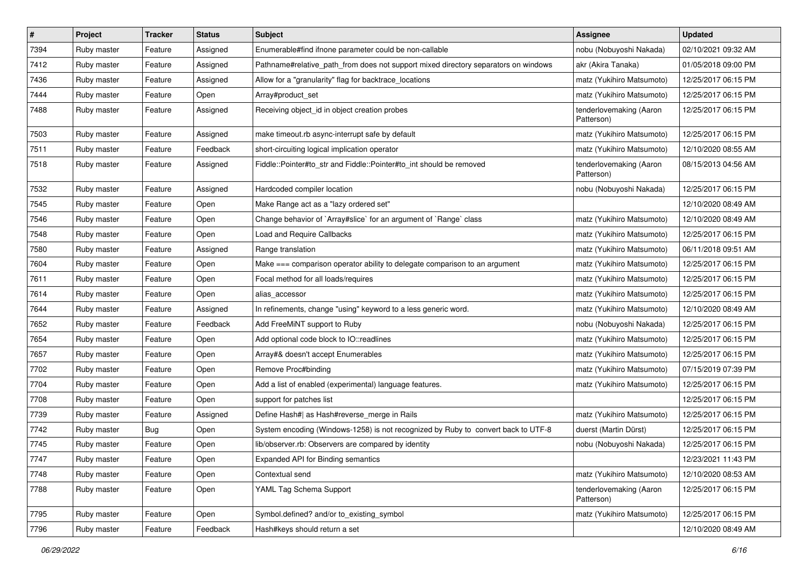| $\vert$ # | Project     | <b>Tracker</b> | <b>Status</b> | Subject                                                                            | <b>Assignee</b>                       | <b>Updated</b>      |
|-----------|-------------|----------------|---------------|------------------------------------------------------------------------------------|---------------------------------------|---------------------|
| 7394      | Ruby master | Feature        | Assigned      | Enumerable#find ifnone parameter could be non-callable                             | nobu (Nobuyoshi Nakada)               | 02/10/2021 09:32 AM |
| 7412      | Ruby master | Feature        | Assigned      | Pathname#relative_path_from does not support mixed directory separators on windows | akr (Akira Tanaka)                    | 01/05/2018 09:00 PM |
| 7436      | Ruby master | Feature        | Assigned      | Allow for a "granularity" flag for backtrace_locations                             | matz (Yukihiro Matsumoto)             | 12/25/2017 06:15 PM |
| 7444      | Ruby master | Feature        | Open          | Array#product_set                                                                  | matz (Yukihiro Matsumoto)             | 12/25/2017 06:15 PM |
| 7488      | Ruby master | Feature        | Assigned      | Receiving object_id in object creation probes                                      | tenderlovemaking (Aaron<br>Patterson) | 12/25/2017 06:15 PM |
| 7503      | Ruby master | Feature        | Assigned      | make timeout.rb async-interrupt safe by default                                    | matz (Yukihiro Matsumoto)             | 12/25/2017 06:15 PM |
| 7511      | Ruby master | Feature        | Feedback      | short-circuiting logical implication operator                                      | matz (Yukihiro Matsumoto)             | 12/10/2020 08:55 AM |
| 7518      | Ruby master | Feature        | Assigned      | Fiddle::Pointer#to_str and Fiddle::Pointer#to_int should be removed                | tenderlovemaking (Aaron<br>Patterson) | 08/15/2013 04:56 AM |
| 7532      | Ruby master | Feature        | Assigned      | Hardcoded compiler location                                                        | nobu (Nobuyoshi Nakada)               | 12/25/2017 06:15 PM |
| 7545      | Ruby master | Feature        | Open          | Make Range act as a "lazy ordered set"                                             |                                       | 12/10/2020 08:49 AM |
| 7546      | Ruby master | Feature        | Open          | Change behavior of `Array#slice` for an argument of `Range` class                  | matz (Yukihiro Matsumoto)             | 12/10/2020 08:49 AM |
| 7548      | Ruby master | Feature        | Open          | <b>Load and Require Callbacks</b>                                                  | matz (Yukihiro Matsumoto)             | 12/25/2017 06:15 PM |
| 7580      | Ruby master | Feature        | Assigned      | Range translation                                                                  | matz (Yukihiro Matsumoto)             | 06/11/2018 09:51 AM |
| 7604      | Ruby master | Feature        | Open          | Make === comparison operator ability to delegate comparison to an argument         | matz (Yukihiro Matsumoto)             | 12/25/2017 06:15 PM |
| 7611      | Ruby master | Feature        | Open          | Focal method for all loads/requires                                                | matz (Yukihiro Matsumoto)             | 12/25/2017 06:15 PM |
| 7614      | Ruby master | Feature        | Open          | alias accessor                                                                     | matz (Yukihiro Matsumoto)             | 12/25/2017 06:15 PM |
| 7644      | Ruby master | Feature        | Assigned      | In refinements, change "using" keyword to a less generic word.                     | matz (Yukihiro Matsumoto)             | 12/10/2020 08:49 AM |
| 7652      | Ruby master | Feature        | Feedback      | Add FreeMiNT support to Ruby                                                       | nobu (Nobuyoshi Nakada)               | 12/25/2017 06:15 PM |
| 7654      | Ruby master | Feature        | Open          | Add optional code block to IO::readlines                                           | matz (Yukihiro Matsumoto)             | 12/25/2017 06:15 PM |
| 7657      | Ruby master | Feature        | Open          | Array#& doesn't accept Enumerables                                                 | matz (Yukihiro Matsumoto)             | 12/25/2017 06:15 PM |
| 7702      | Ruby master | Feature        | Open          | Remove Proc#binding                                                                | matz (Yukihiro Matsumoto)             | 07/15/2019 07:39 PM |
| 7704      | Ruby master | Feature        | Open          | Add a list of enabled (experimental) language features.                            | matz (Yukihiro Matsumoto)             | 12/25/2017 06:15 PM |
| 7708      | Ruby master | Feature        | Open          | support for patches list                                                           |                                       | 12/25/2017 06:15 PM |
| 7739      | Ruby master | Feature        | Assigned      | Define Hash#  as Hash#reverse_merge in Rails                                       | matz (Yukihiro Matsumoto)             | 12/25/2017 06:15 PM |
| 7742      | Ruby master | Bug            | Open          | System encoding (Windows-1258) is not recognized by Ruby to convert back to UTF-8  | duerst (Martin Dürst)                 | 12/25/2017 06:15 PM |
| 7745      | Ruby master | Feature        | Open          | lib/observer.rb: Observers are compared by identity                                | nobu (Nobuyoshi Nakada)               | 12/25/2017 06:15 PM |
| 7747      | Ruby master | Feature        | Open          | Expanded API for Binding semantics                                                 |                                       | 12/23/2021 11:43 PM |
| 7748      | Ruby master | Feature        | Open          | Contextual send                                                                    | matz (Yukihiro Matsumoto)             | 12/10/2020 08:53 AM |
| 7788      | Ruby master | Feature        | Open          | YAML Tag Schema Support                                                            | tenderlovemaking (Aaron<br>Patterson) | 12/25/2017 06:15 PM |
| 7795      | Ruby master | Feature        | Open          | Symbol.defined? and/or to existing symbol                                          | matz (Yukihiro Matsumoto)             | 12/25/2017 06:15 PM |
| 7796      | Ruby master | Feature        | Feedback      | Hash#keys should return a set                                                      |                                       | 12/10/2020 08:49 AM |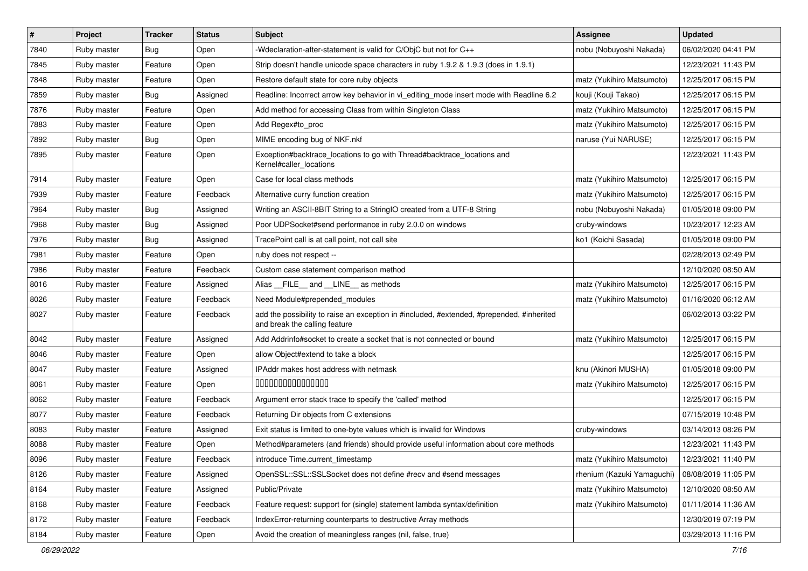| $\vert$ # | Project     | <b>Tracker</b> | <b>Status</b> | Subject                                                                                                                    | <b>Assignee</b>            | <b>Updated</b>      |
|-----------|-------------|----------------|---------------|----------------------------------------------------------------------------------------------------------------------------|----------------------------|---------------------|
| 7840      | Ruby master | Bug            | Open          | -Wdeclaration-after-statement is valid for C/ObjC but not for C++                                                          | nobu (Nobuyoshi Nakada)    | 06/02/2020 04:41 PM |
| 7845      | Ruby master | Feature        | Open          | Strip doesn't handle unicode space characters in ruby 1.9.2 & 1.9.3 (does in 1.9.1)                                        |                            | 12/23/2021 11:43 PM |
| 7848      | Ruby master | Feature        | Open          | Restore default state for core ruby objects                                                                                | matz (Yukihiro Matsumoto)  | 12/25/2017 06:15 PM |
| 7859      | Ruby master | Bug            | Assigned      | Readline: Incorrect arrow key behavior in vi_editing_mode insert mode with Readline 6.2                                    | kouji (Kouji Takao)        | 12/25/2017 06:15 PM |
| 7876      | Ruby master | Feature        | Open          | Add method for accessing Class from within Singleton Class                                                                 | matz (Yukihiro Matsumoto)  | 12/25/2017 06:15 PM |
| 7883      | Ruby master | Feature        | Open          | Add Regex#to_proc                                                                                                          | matz (Yukihiro Matsumoto)  | 12/25/2017 06:15 PM |
| 7892      | Ruby master | Bug            | Open          | MIME encoding bug of NKF.nkf                                                                                               | naruse (Yui NARUSE)        | 12/25/2017 06:15 PM |
| 7895      | Ruby master | Feature        | Open          | Exception#backtrace_locations to go with Thread#backtrace_locations and<br>Kernel#caller_locations                         |                            | 12/23/2021 11:43 PM |
| 7914      | Ruby master | Feature        | Open          | Case for local class methods                                                                                               | matz (Yukihiro Matsumoto)  | 12/25/2017 06:15 PM |
| 7939      | Ruby master | Feature        | Feedback      | Alternative curry function creation                                                                                        | matz (Yukihiro Matsumoto)  | 12/25/2017 06:15 PM |
| 7964      | Ruby master | Bug            | Assigned      | Writing an ASCII-8BIT String to a StringIO created from a UTF-8 String                                                     | nobu (Nobuyoshi Nakada)    | 01/05/2018 09:00 PM |
| 7968      | Ruby master | Bug            | Assigned      | Poor UDPSocket#send performance in ruby 2.0.0 on windows                                                                   | cruby-windows              | 10/23/2017 12:23 AM |
| 7976      | Ruby master | Bug            | Assigned      | TracePoint call is at call point, not call site                                                                            | ko1 (Koichi Sasada)        | 01/05/2018 09:00 PM |
| 7981      | Ruby master | Feature        | Open          | ruby does not respect --                                                                                                   |                            | 02/28/2013 02:49 PM |
| 7986      | Ruby master | Feature        | Feedback      | Custom case statement comparison method                                                                                    |                            | 12/10/2020 08:50 AM |
| 8016      | Ruby master | Feature        | Assigned      | Alias FILE and LINE as methods                                                                                             | matz (Yukihiro Matsumoto)  | 12/25/2017 06:15 PM |
| 8026      | Ruby master | Feature        | Feedback      | Need Module#prepended_modules                                                                                              | matz (Yukihiro Matsumoto)  | 01/16/2020 06:12 AM |
| 8027      | Ruby master | Feature        | Feedback      | add the possibility to raise an exception in #included, #extended, #prepended, #inherited<br>and break the calling feature |                            | 06/02/2013 03:22 PM |
| 8042      | Ruby master | Feature        | Assigned      | Add Addrinfo#socket to create a socket that is not connected or bound                                                      | matz (Yukihiro Matsumoto)  | 12/25/2017 06:15 PM |
| 8046      | Ruby master | Feature        | Open          | allow Object#extend to take a block                                                                                        |                            | 12/25/2017 06:15 PM |
| 8047      | Ruby master | Feature        | Assigned      | IPAddr makes host address with netmask                                                                                     | knu (Akinori MUSHA)        | 01/05/2018 09:00 PM |
| 8061      | Ruby master | Feature        | Open          | 000000000000000                                                                                                            | matz (Yukihiro Matsumoto)  | 12/25/2017 06:15 PM |
| 8062      | Ruby master | Feature        | Feedback      | Argument error stack trace to specify the 'called' method                                                                  |                            | 12/25/2017 06:15 PM |
| 8077      | Ruby master | Feature        | Feedback      | Returning Dir objects from C extensions                                                                                    |                            | 07/15/2019 10:48 PM |
| 8083      | Ruby master | Feature        | Assigned      | Exit status is limited to one-byte values which is invalid for Windows                                                     | cruby-windows              | 03/14/2013 08:26 PM |
| 8088      | Ruby master | Feature        | Open          | Method#parameters (and friends) should provide useful information about core methods                                       |                            | 12/23/2021 11:43 PM |
| 8096      | Ruby master | Feature        | Feedback      | introduce Time.current_timestamp                                                                                           | matz (Yukihiro Matsumoto)  | 12/23/2021 11:40 PM |
| 8126      | Ruby master | Feature        | Assigned      | OpenSSL::SSL:SSLSocket does not define #recv and #send messages                                                            | rhenium (Kazuki Yamaguchi) | 08/08/2019 11:05 PM |
| 8164      | Ruby master | Feature        | Assigned      | Public/Private                                                                                                             | matz (Yukihiro Matsumoto)  | 12/10/2020 08:50 AM |
| 8168      | Ruby master | Feature        | Feedback      | Feature request: support for (single) statement lambda syntax/definition                                                   | matz (Yukihiro Matsumoto)  | 01/11/2014 11:36 AM |
| 8172      | Ruby master | Feature        | Feedback      | IndexError-returning counterparts to destructive Array methods                                                             |                            | 12/30/2019 07:19 PM |
| 8184      | Ruby master | Feature        | Open          | Avoid the creation of meaningless ranges (nil, false, true)                                                                |                            | 03/29/2013 11:16 PM |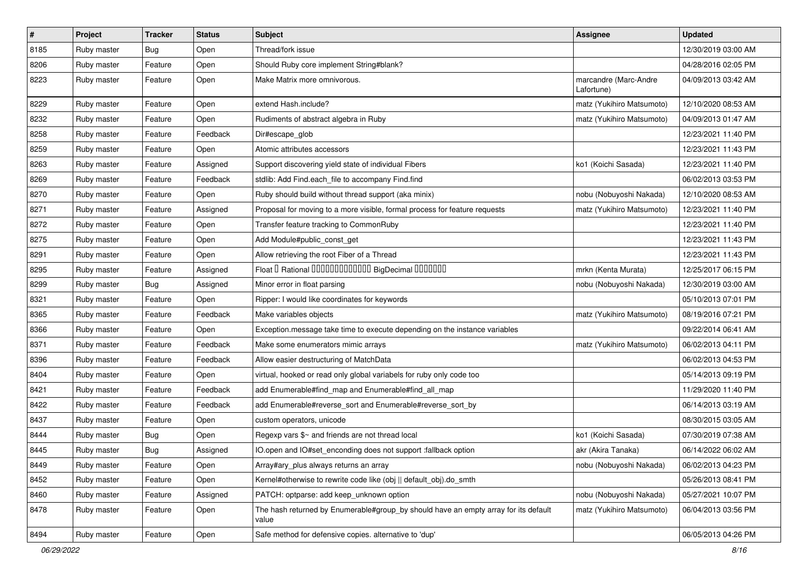| $\pmb{\#}$ | Project     | <b>Tracker</b> | <b>Status</b> | Subject                                                                                      | <b>Assignee</b>                     | <b>Updated</b>      |
|------------|-------------|----------------|---------------|----------------------------------------------------------------------------------------------|-------------------------------------|---------------------|
| 8185       | Ruby master | Bug            | Open          | Thread/fork issue                                                                            |                                     | 12/30/2019 03:00 AM |
| 8206       | Ruby master | Feature        | Open          | Should Ruby core implement String#blank?                                                     |                                     | 04/28/2016 02:05 PM |
| 8223       | Ruby master | Feature        | Open          | Make Matrix more omnivorous.                                                                 | marcandre (Marc-Andre<br>Lafortune) | 04/09/2013 03:42 AM |
| 8229       | Ruby master | Feature        | Open          | extend Hash.include?                                                                         | matz (Yukihiro Matsumoto)           | 12/10/2020 08:53 AM |
| 8232       | Ruby master | Feature        | Open          | Rudiments of abstract algebra in Ruby                                                        | matz (Yukihiro Matsumoto)           | 04/09/2013 01:47 AM |
| 8258       | Ruby master | Feature        | Feedback      | Dir#escape_glob                                                                              |                                     | 12/23/2021 11:40 PM |
| 8259       | Ruby master | Feature        | Open          | Atomic attributes accessors                                                                  |                                     | 12/23/2021 11:43 PM |
| 8263       | Ruby master | Feature        | Assigned      | Support discovering yield state of individual Fibers                                         | ko1 (Koichi Sasada)                 | 12/23/2021 11:40 PM |
| 8269       | Ruby master | Feature        | Feedback      | stdlib: Add Find.each_file to accompany Find.find                                            |                                     | 06/02/2013 03:53 PM |
| 8270       | Ruby master | Feature        | Open          | Ruby should build without thread support (aka minix)                                         | nobu (Nobuyoshi Nakada)             | 12/10/2020 08:53 AM |
| 8271       | Ruby master | Feature        | Assigned      | Proposal for moving to a more visible, formal process for feature requests                   | matz (Yukihiro Matsumoto)           | 12/23/2021 11:40 PM |
| 8272       | Ruby master | Feature        | Open          | Transfer feature tracking to CommonRuby                                                      |                                     | 12/23/2021 11:40 PM |
| 8275       | Ruby master | Feature        | Open          | Add Module#public_const_get                                                                  |                                     | 12/23/2021 11:43 PM |
| 8291       | Ruby master | Feature        | Open          | Allow retrieving the root Fiber of a Thread                                                  |                                     | 12/23/2021 11:43 PM |
| 8295       | Ruby master | Feature        | Assigned      | Float I Rational IIIIIIIIIIIIIIIIIII BigDecimal IIIIIIIIII                                   | mrkn (Kenta Murata)                 | 12/25/2017 06:15 PM |
| 8299       | Ruby master | Bug            | Assigned      | Minor error in float parsing                                                                 | nobu (Nobuyoshi Nakada)             | 12/30/2019 03:00 AM |
| 8321       | Ruby master | Feature        | Open          | Ripper: I would like coordinates for keywords                                                |                                     | 05/10/2013 07:01 PM |
| 8365       | Ruby master | Feature        | Feedback      | Make variables objects                                                                       | matz (Yukihiro Matsumoto)           | 08/19/2016 07:21 PM |
| 8366       | Ruby master | Feature        | Open          | Exception.message take time to execute depending on the instance variables                   |                                     | 09/22/2014 06:41 AM |
| 8371       | Ruby master | Feature        | Feedback      | Make some enumerators mimic arrays                                                           | matz (Yukihiro Matsumoto)           | 06/02/2013 04:11 PM |
| 8396       | Ruby master | Feature        | Feedback      | Allow easier destructuring of MatchData                                                      |                                     | 06/02/2013 04:53 PM |
| 8404       | Ruby master | Feature        | Open          | virtual, hooked or read only global variabels for ruby only code too                         |                                     | 05/14/2013 09:19 PM |
| 8421       | Ruby master | Feature        | Feedback      | add Enumerable#find_map and Enumerable#find_all_map                                          |                                     | 11/29/2020 11:40 PM |
| 8422       | Ruby master | Feature        | Feedback      | add Enumerable#reverse_sort and Enumerable#reverse_sort_by                                   |                                     | 06/14/2013 03:19 AM |
| 8437       | Ruby master | Feature        | Open          | custom operators, unicode                                                                    |                                     | 08/30/2015 03:05 AM |
| 8444       | Ruby master | Bug            | Open          | Regexp vars \$~ and friends are not thread local                                             | ko1 (Koichi Sasada)                 | 07/30/2019 07:38 AM |
| 8445       | Ruby master | <b>Bug</b>     | Assigned      | IO.open and IO#set_enconding does not support :fallback option                               | akr (Akira Tanaka)                  | 06/14/2022 06:02 AM |
| 8449       | Ruby master | Feature        | Open          | Array#ary_plus always returns an array                                                       | nobu (Nobuyoshi Nakada)             | 06/02/2013 04:23 PM |
| 8452       | Ruby master | Feature        | Open          | Kernel#otherwise to rewrite code like (obj    default_obj).do_smth                           |                                     | 05/26/2013 08:41 PM |
| 8460       | Ruby master | Feature        | Assigned      | PATCH: optparse: add keep_unknown option                                                     | nobu (Nobuyoshi Nakada)             | 05/27/2021 10:07 PM |
| 8478       | Ruby master | Feature        | Open          | The hash returned by Enumerable#group_by should have an empty array for its default<br>value | matz (Yukihiro Matsumoto)           | 06/04/2013 03:56 PM |
| 8494       | Ruby master | Feature        | Open          | Safe method for defensive copies. alternative to 'dup'                                       |                                     | 06/05/2013 04:26 PM |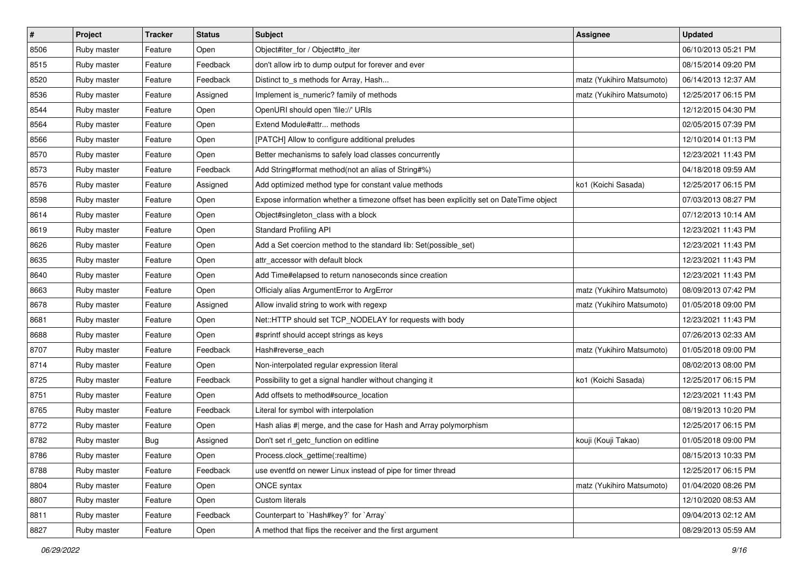| $\sharp$ | Project     | <b>Tracker</b> | <b>Status</b> | <b>Subject</b>                                                                          | <b>Assignee</b>           | <b>Updated</b>      |
|----------|-------------|----------------|---------------|-----------------------------------------------------------------------------------------|---------------------------|---------------------|
| 8506     | Ruby master | Feature        | Open          | Object#iter_for / Object#to_iter                                                        |                           | 06/10/2013 05:21 PM |
| 8515     | Ruby master | Feature        | Feedback      | don't allow irb to dump output for forever and ever                                     |                           | 08/15/2014 09:20 PM |
| 8520     | Ruby master | Feature        | Feedback      | Distinct to_s methods for Array, Hash                                                   | matz (Yukihiro Matsumoto) | 06/14/2013 12:37 AM |
| 8536     | Ruby master | Feature        | Assigned      | Implement is_numeric? family of methods                                                 | matz (Yukihiro Matsumoto) | 12/25/2017 06:15 PM |
| 8544     | Ruby master | Feature        | Open          | OpenURI should open 'file://' URIs                                                      |                           | 12/12/2015 04:30 PM |
| 8564     | Ruby master | Feature        | Open          | Extend Module#attr methods                                                              |                           | 02/05/2015 07:39 PM |
| 8566     | Ruby master | Feature        | Open          | [PATCH] Allow to configure additional preludes                                          |                           | 12/10/2014 01:13 PM |
| 8570     | Ruby master | Feature        | Open          | Better mechanisms to safely load classes concurrently                                   |                           | 12/23/2021 11:43 PM |
| 8573     | Ruby master | Feature        | Feedback      | Add String#format method(not an alias of String#%)                                      |                           | 04/18/2018 09:59 AM |
| 8576     | Ruby master | Feature        | Assigned      | Add optimized method type for constant value methods                                    | ko1 (Koichi Sasada)       | 12/25/2017 06:15 PM |
| 8598     | Ruby master | Feature        | Open          | Expose information whether a timezone offset has been explicitly set on DateTime object |                           | 07/03/2013 08:27 PM |
| 8614     | Ruby master | Feature        | Open          | Object#singleton_class with a block                                                     |                           | 07/12/2013 10:14 AM |
| 8619     | Ruby master | Feature        | Open          | <b>Standard Profiling API</b>                                                           |                           | 12/23/2021 11:43 PM |
| 8626     | Ruby master | Feature        | Open          | Add a Set coercion method to the standard lib: Set(possible_set)                        |                           | 12/23/2021 11:43 PM |
| 8635     | Ruby master | Feature        | Open          | attr accessor with default block                                                        |                           | 12/23/2021 11:43 PM |
| 8640     | Ruby master | Feature        | Open          | Add Time#elapsed to return nanoseconds since creation                                   |                           | 12/23/2021 11:43 PM |
| 8663     | Ruby master | Feature        | Open          | Officialy alias ArgumentError to ArgError                                               | matz (Yukihiro Matsumoto) | 08/09/2013 07:42 PM |
| 8678     | Ruby master | Feature        | Assigned      | Allow invalid string to work with regexp                                                | matz (Yukihiro Matsumoto) | 01/05/2018 09:00 PM |
| 8681     | Ruby master | Feature        | Open          | Net::HTTP should set TCP_NODELAY for requests with body                                 |                           | 12/23/2021 11:43 PM |
| 8688     | Ruby master | Feature        | Open          | #sprintf should accept strings as keys                                                  |                           | 07/26/2013 02:33 AM |
| 8707     | Ruby master | Feature        | Feedback      | Hash#reverse each                                                                       | matz (Yukihiro Matsumoto) | 01/05/2018 09:00 PM |
| 8714     | Ruby master | Feature        | Open          | Non-interpolated regular expression literal                                             |                           | 08/02/2013 08:00 PM |
| 8725     | Ruby master | Feature        | Feedback      | Possibility to get a signal handler without changing it                                 | ko1 (Koichi Sasada)       | 12/25/2017 06:15 PM |
| 8751     | Ruby master | Feature        | Open          | Add offsets to method#source_location                                                   |                           | 12/23/2021 11:43 PM |
| 8765     | Ruby master | Feature        | Feedback      | Literal for symbol with interpolation                                                   |                           | 08/19/2013 10:20 PM |
| 8772     | Ruby master | Feature        | Open          | Hash alias #  merge, and the case for Hash and Array polymorphism                       |                           | 12/25/2017 06:15 PM |
| 8782     | Ruby master | Bug            | Assigned      | Don't set rl_getc_function on editline                                                  | kouji (Kouji Takao)       | 01/05/2018 09:00 PM |
| 8786     | Ruby master | Feature        | Open          | Process.clock_gettime(:realtime)                                                        |                           | 08/15/2013 10:33 PM |
| 8788     | Ruby master | Feature        | Feedback      | use eventfd on newer Linux instead of pipe for timer thread                             |                           | 12/25/2017 06:15 PM |
| 8804     | Ruby master | Feature        | Open          | ONCE syntax                                                                             | matz (Yukihiro Matsumoto) | 01/04/2020 08:26 PM |
| 8807     | Ruby master | Feature        | Open          | Custom literals                                                                         |                           | 12/10/2020 08:53 AM |
| 8811     | Ruby master | Feature        | Feedback      | Counterpart to `Hash#key?` for `Array`                                                  |                           | 09/04/2013 02:12 AM |
| 8827     | Ruby master | Feature        | Open          | A method that flips the receiver and the first argument                                 |                           | 08/29/2013 05:59 AM |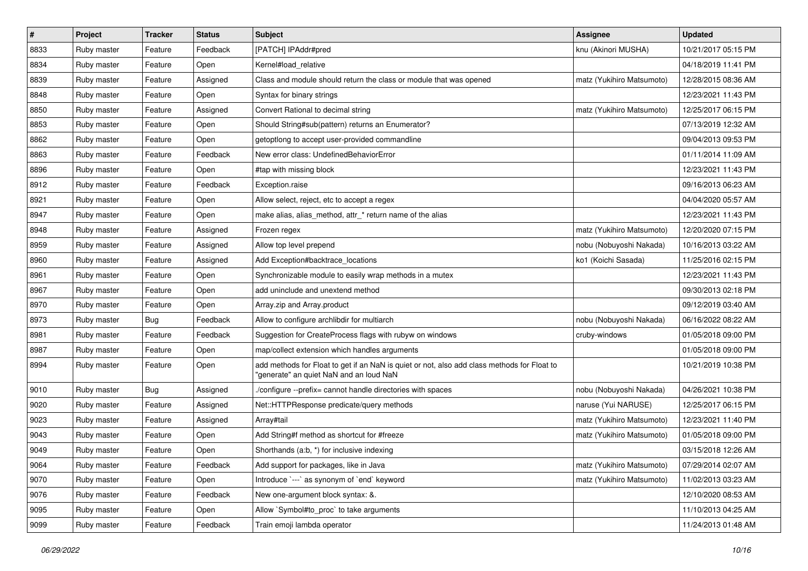| $\sharp$ | Project     | <b>Tracker</b> | <b>Status</b> | Subject                                                                                                                                | <b>Assignee</b>           | <b>Updated</b>      |
|----------|-------------|----------------|---------------|----------------------------------------------------------------------------------------------------------------------------------------|---------------------------|---------------------|
| 8833     | Ruby master | Feature        | Feedback      | [PATCH] IPAddr#pred                                                                                                                    | knu (Akinori MUSHA)       | 10/21/2017 05:15 PM |
| 8834     | Ruby master | Feature        | Open          | Kernel#load_relative                                                                                                                   |                           | 04/18/2019 11:41 PM |
| 8839     | Ruby master | Feature        | Assigned      | Class and module should return the class or module that was opened                                                                     | matz (Yukihiro Matsumoto) | 12/28/2015 08:36 AM |
| 8848     | Ruby master | Feature        | Open          | Syntax for binary strings                                                                                                              |                           | 12/23/2021 11:43 PM |
| 8850     | Ruby master | Feature        | Assigned      | Convert Rational to decimal string                                                                                                     | matz (Yukihiro Matsumoto) | 12/25/2017 06:15 PM |
| 8853     | Ruby master | Feature        | Open          | Should String#sub(pattern) returns an Enumerator?                                                                                      |                           | 07/13/2019 12:32 AM |
| 8862     | Ruby master | Feature        | Open          | getoptlong to accept user-provided commandline                                                                                         |                           | 09/04/2013 09:53 PM |
| 8863     | Ruby master | Feature        | Feedback      | New error class: UndefinedBehaviorError                                                                                                |                           | 01/11/2014 11:09 AM |
| 8896     | Ruby master | Feature        | Open          | #tap with missing block                                                                                                                |                           | 12/23/2021 11:43 PM |
| 8912     | Ruby master | Feature        | Feedback      | Exception.raise                                                                                                                        |                           | 09/16/2013 06:23 AM |
| 8921     | Ruby master | Feature        | Open          | Allow select, reject, etc to accept a regex                                                                                            |                           | 04/04/2020 05:57 AM |
| 8947     | Ruby master | Feature        | Open          | make alias, alias_method, attr_* return name of the alias                                                                              |                           | 12/23/2021 11:43 PM |
| 8948     | Ruby master | Feature        | Assigned      | Frozen regex                                                                                                                           | matz (Yukihiro Matsumoto) | 12/20/2020 07:15 PM |
| 8959     | Ruby master | Feature        | Assigned      | Allow top level prepend                                                                                                                | nobu (Nobuyoshi Nakada)   | 10/16/2013 03:22 AM |
| 8960     | Ruby master | Feature        | Assigned      | Add Exception#backtrace_locations                                                                                                      | ko1 (Koichi Sasada)       | 11/25/2016 02:15 PM |
| 8961     | Ruby master | Feature        | Open          | Synchronizable module to easily wrap methods in a mutex                                                                                |                           | 12/23/2021 11:43 PM |
| 8967     | Ruby master | Feature        | Open          | add uninclude and unextend method                                                                                                      |                           | 09/30/2013 02:18 PM |
| 8970     | Ruby master | Feature        | Open          | Array.zip and Array.product                                                                                                            |                           | 09/12/2019 03:40 AM |
| 8973     | Ruby master | Bug            | Feedback      | Allow to configure archlibdir for multiarch                                                                                            | nobu (Nobuyoshi Nakada)   | 06/16/2022 08:22 AM |
| 8981     | Ruby master | Feature        | Feedback      | Suggestion for CreateProcess flags with rubyw on windows                                                                               | cruby-windows             | 01/05/2018 09:00 PM |
| 8987     | Ruby master | Feature        | Open          | map/collect extension which handles arguments                                                                                          |                           | 01/05/2018 09:00 PM |
| 8994     | Ruby master | Feature        | Open          | add methods for Float to get if an NaN is quiet or not, also add class methods for Float to<br>'generate" an quiet NaN and an loud NaN |                           | 10/21/2019 10:38 PM |
| 9010     | Ruby master | Bug            | Assigned      | /configure --prefix= cannot handle directories with spaces                                                                             | nobu (Nobuyoshi Nakada)   | 04/26/2021 10:38 PM |
| 9020     | Ruby master | Feature        | Assigned      | Net::HTTPResponse predicate/query methods                                                                                              | naruse (Yui NARUSE)       | 12/25/2017 06:15 PM |
| 9023     | Ruby master | Feature        | Assigned      | Array#tail                                                                                                                             | matz (Yukihiro Matsumoto) | 12/23/2021 11:40 PM |
| 9043     | Ruby master | Feature        | Open          | Add String#f method as shortcut for #freeze                                                                                            | matz (Yukihiro Matsumoto) | 01/05/2018 09:00 PM |
| 9049     | Ruby master | Feature        | Open          | Shorthands (a:b, *) for inclusive indexing                                                                                             |                           | 03/15/2018 12:26 AM |
| 9064     | Ruby master | Feature        | Feedback      | Add support for packages, like in Java                                                                                                 | matz (Yukihiro Matsumoto) | 07/29/2014 02:07 AM |
| 9070     | Ruby master | Feature        | Open          | Introduce `---` as synonym of `end` keyword                                                                                            | matz (Yukihiro Matsumoto) | 11/02/2013 03:23 AM |
| 9076     | Ruby master | Feature        | Feedback      | New one-argument block syntax: &.                                                                                                      |                           | 12/10/2020 08:53 AM |
| 9095     | Ruby master | Feature        | Open          | Allow `Symbol#to_proc` to take arguments                                                                                               |                           | 11/10/2013 04:25 AM |
| 9099     | Ruby master | Feature        | Feedback      | Train emoji lambda operator                                                                                                            |                           | 11/24/2013 01:48 AM |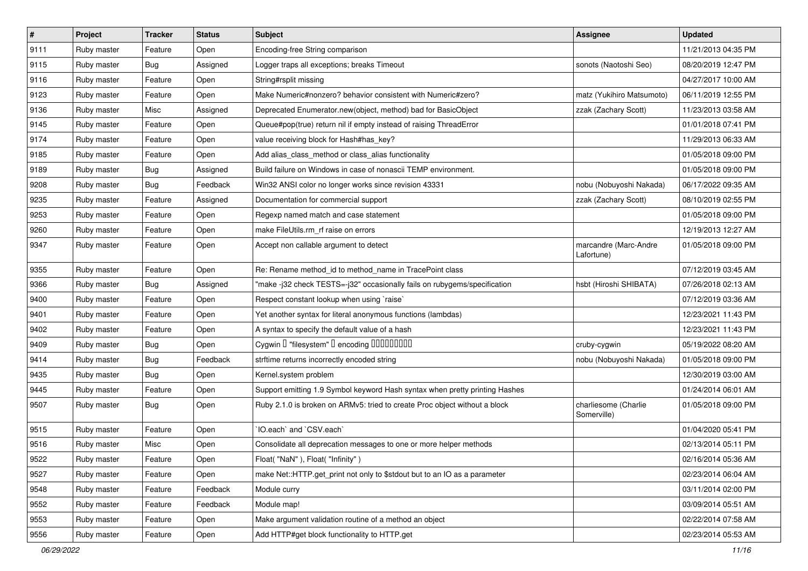| $\vert$ # | Project     | <b>Tracker</b> | <b>Status</b> | Subject                                                                     | <b>Assignee</b>                     | <b>Updated</b>      |
|-----------|-------------|----------------|---------------|-----------------------------------------------------------------------------|-------------------------------------|---------------------|
| 9111      | Ruby master | Feature        | Open          | Encoding-free String comparison                                             |                                     | 11/21/2013 04:35 PM |
| 9115      | Ruby master | Bug            | Assigned      | Logger traps all exceptions; breaks Timeout                                 | sonots (Naotoshi Seo)               | 08/20/2019 12:47 PM |
| 9116      | Ruby master | Feature        | Open          | String#rsplit missing                                                       |                                     | 04/27/2017 10:00 AM |
| 9123      | Ruby master | Feature        | Open          | Make Numeric#nonzero? behavior consistent with Numeric#zero?                | matz (Yukihiro Matsumoto)           | 06/11/2019 12:55 PM |
| 9136      | Ruby master | Misc           | Assigned      | Deprecated Enumerator.new(object, method) bad for BasicObject               | zzak (Zachary Scott)                | 11/23/2013 03:58 AM |
| 9145      | Ruby master | Feature        | Open          | Queue#pop(true) return nil if empty instead of raising ThreadError          |                                     | 01/01/2018 07:41 PM |
| 9174      | Ruby master | Feature        | Open          | value receiving block for Hash#has_key?                                     |                                     | 11/29/2013 06:33 AM |
| 9185      | Ruby master | Feature        | Open          | Add alias_class_method or class_alias functionality                         |                                     | 01/05/2018 09:00 PM |
| 9189      | Ruby master | Bug            | Assigned      | Build failure on Windows in case of nonascii TEMP environment.              |                                     | 01/05/2018 09:00 PM |
| 9208      | Ruby master | Bug            | Feedback      | Win32 ANSI color no longer works since revision 43331                       | nobu (Nobuyoshi Nakada)             | 06/17/2022 09:35 AM |
| 9235      | Ruby master | Feature        | Assigned      | Documentation for commercial support                                        | zzak (Zachary Scott)                | 08/10/2019 02:55 PM |
| 9253      | Ruby master | Feature        | Open          | Regexp named match and case statement                                       |                                     | 01/05/2018 09:00 PM |
| 9260      | Ruby master | Feature        | Open          | make FileUtils.rm_rf raise on errors                                        |                                     | 12/19/2013 12:27 AM |
| 9347      | Ruby master | Feature        | Open          | Accept non callable argument to detect                                      | marcandre (Marc-Andre<br>Lafortune) | 01/05/2018 09:00 PM |
| 9355      | Ruby master | Feature        | Open          | Re: Rename method_id to method_name in TracePoint class                     |                                     | 07/12/2019 03:45 AM |
| 9366      | Ruby master | Bug            | Assigned      | "make-j32 check TESTS=-j32" occasionally fails on rubygems/specification    | hsbt (Hiroshi SHIBATA)              | 07/26/2018 02:13 AM |
| 9400      | Ruby master | Feature        | Open          | Respect constant lookup when using 'raise'                                  |                                     | 07/12/2019 03:36 AM |
| 9401      | Ruby master | Feature        | Open          | Yet another syntax for literal anonymous functions (lambdas)                |                                     | 12/23/2021 11:43 PM |
| 9402      | Ruby master | Feature        | Open          | A syntax to specify the default value of a hash                             |                                     | 12/23/2021 11:43 PM |
| 9409      | Ruby master | Bug            | Open          | Cygwin I "filesystem" I encoding IIIIIIIIIIIII                              | cruby-cygwin                        | 05/19/2022 08:20 AM |
| 9414      | Ruby master | <b>Bug</b>     | Feedback      | strftime returns incorrectly encoded string                                 | nobu (Nobuyoshi Nakada)             | 01/05/2018 09:00 PM |
| 9435      | Ruby master | Bug            | Open          | Kernel.system problem                                                       |                                     | 12/30/2019 03:00 AM |
| 9445      | Ruby master | Feature        | Open          | Support emitting 1.9 Symbol keyword Hash syntax when pretty printing Hashes |                                     | 01/24/2014 06:01 AM |
| 9507      | Ruby master | Bug            | Open          | Ruby 2.1.0 is broken on ARMv5: tried to create Proc object without a block  | charliesome (Charlie<br>Somerville) | 01/05/2018 09:00 PM |
| 9515      | Ruby master | Feature        | Open          | 'IO.each' and 'CSV.each'                                                    |                                     | 01/04/2020 05:41 PM |
| 9516      | Ruby master | Misc           | Open          | Consolidate all deprecation messages to one or more helper methods          |                                     | 02/13/2014 05:11 PM |
| 9522      | Ruby master | Feature        | Open          | Float("NaN"), Float("Infinity")                                             |                                     | 02/16/2014 05:36 AM |
| 9527      | Ruby master | Feature        | Open          | make Net::HTTP.get_print not only to \$stdout but to an IO as a parameter   |                                     | 02/23/2014 06:04 AM |
| 9548      | Ruby master | Feature        | Feedback      | Module curry                                                                |                                     | 03/11/2014 02:00 PM |
| 9552      | Ruby master | Feature        | Feedback      | Module map!                                                                 |                                     | 03/09/2014 05:51 AM |
| 9553      | Ruby master | Feature        | Open          | Make argument validation routine of a method an object                      |                                     | 02/22/2014 07:58 AM |
| 9556      | Ruby master | Feature        | Open          | Add HTTP#get block functionality to HTTP.get                                |                                     | 02/23/2014 05:53 AM |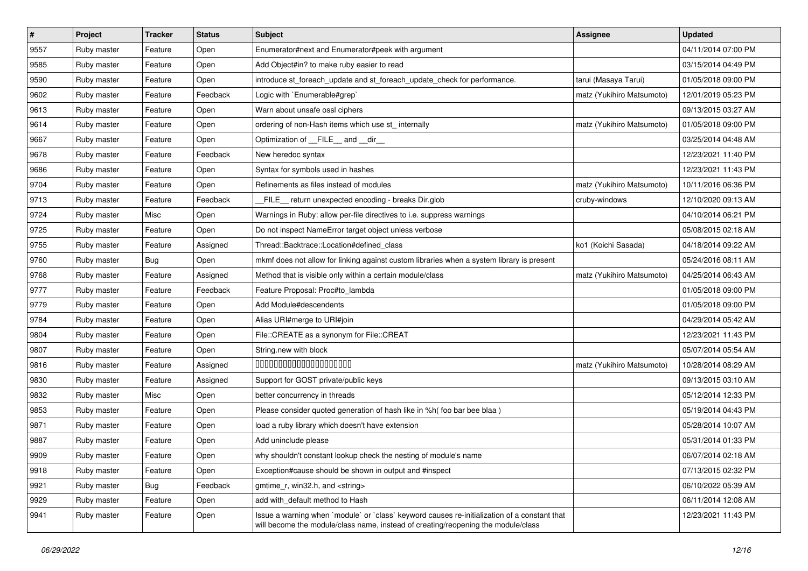| $\vert$ # | Project     | <b>Tracker</b> | <b>Status</b> | Subject                                                                                                                                                                           | <b>Assignee</b>           | <b>Updated</b>      |
|-----------|-------------|----------------|---------------|-----------------------------------------------------------------------------------------------------------------------------------------------------------------------------------|---------------------------|---------------------|
| 9557      | Ruby master | Feature        | Open          | Enumerator#next and Enumerator#peek with argument                                                                                                                                 |                           | 04/11/2014 07:00 PM |
| 9585      | Ruby master | Feature        | Open          | Add Object#in? to make ruby easier to read                                                                                                                                        |                           | 03/15/2014 04:49 PM |
| 9590      | Ruby master | Feature        | Open          | introduce st_foreach_update and st_foreach_update_check for performance.                                                                                                          | tarui (Masaya Tarui)      | 01/05/2018 09:00 PM |
| 9602      | Ruby master | Feature        | Feedback      | Logic with `Enumerable#grep`                                                                                                                                                      | matz (Yukihiro Matsumoto) | 12/01/2019 05:23 PM |
| 9613      | Ruby master | Feature        | Open          | Warn about unsafe ossl ciphers                                                                                                                                                    |                           | 09/13/2015 03:27 AM |
| 9614      | Ruby master | Feature        | Open          | ordering of non-Hash items which use st_internally                                                                                                                                | matz (Yukihiro Matsumoto) | 01/05/2018 09:00 PM |
| 9667      | Ruby master | Feature        | Open          | Optimization of FILE_and _dir_                                                                                                                                                    |                           | 03/25/2014 04:48 AM |
| 9678      | Ruby master | Feature        | Feedback      | New heredoc syntax                                                                                                                                                                |                           | 12/23/2021 11:40 PM |
| 9686      | Ruby master | Feature        | Open          | Syntax for symbols used in hashes                                                                                                                                                 |                           | 12/23/2021 11:43 PM |
| 9704      | Ruby master | Feature        | Open          | Refinements as files instead of modules                                                                                                                                           | matz (Yukihiro Matsumoto) | 10/11/2016 06:36 PM |
| 9713      | Ruby master | Feature        | Feedback      | FILE_ return unexpected encoding - breaks Dir.glob                                                                                                                                | cruby-windows             | 12/10/2020 09:13 AM |
| 9724      | Ruby master | Misc           | Open          | Warnings in Ruby: allow per-file directives to i.e. suppress warnings                                                                                                             |                           | 04/10/2014 06:21 PM |
| 9725      | Ruby master | Feature        | Open          | Do not inspect NameError target object unless verbose                                                                                                                             |                           | 05/08/2015 02:18 AM |
| 9755      | Ruby master | Feature        | Assigned      | Thread::Backtrace::Location#defined_class                                                                                                                                         | ko1 (Koichi Sasada)       | 04/18/2014 09:22 AM |
| 9760      | Ruby master | Bug            | Open          | mkmf does not allow for linking against custom libraries when a system library is present                                                                                         |                           | 05/24/2016 08:11 AM |
| 9768      | Ruby master | Feature        | Assigned      | Method that is visible only within a certain module/class                                                                                                                         | matz (Yukihiro Matsumoto) | 04/25/2014 06:43 AM |
| 9777      | Ruby master | Feature        | Feedback      | Feature Proposal: Proc#to_lambda                                                                                                                                                  |                           | 01/05/2018 09:00 PM |
| 9779      | Ruby master | Feature        | Open          | Add Module#descendents                                                                                                                                                            |                           | 01/05/2018 09:00 PM |
| 9784      | Ruby master | Feature        | Open          | Alias URI#merge to URI#join                                                                                                                                                       |                           | 04/29/2014 05:42 AM |
| 9804      | Ruby master | Feature        | Open          | File::CREATE as a synonym for File::CREAT                                                                                                                                         |                           | 12/23/2021 11:43 PM |
| 9807      | Ruby master | Feature        | Open          | String.new with block                                                                                                                                                             |                           | 05/07/2014 05:54 AM |
| 9816      | Ruby master | Feature        | Assigned      | 00000000000000000000                                                                                                                                                              | matz (Yukihiro Matsumoto) | 10/28/2014 08:29 AM |
| 9830      | Ruby master | Feature        | Assigned      | Support for GOST private/public keys                                                                                                                                              |                           | 09/13/2015 03:10 AM |
| 9832      | Ruby master | Misc           | Open          | better concurrency in threads                                                                                                                                                     |                           | 05/12/2014 12:33 PM |
| 9853      | Ruby master | Feature        | Open          | Please consider quoted generation of hash like in %h( foo bar bee blaa )                                                                                                          |                           | 05/19/2014 04:43 PM |
| 9871      | Ruby master | Feature        | Open          | load a ruby library which doesn't have extension                                                                                                                                  |                           | 05/28/2014 10:07 AM |
| 9887      | Ruby master | Feature        | Open          | Add uninclude please                                                                                                                                                              |                           | 05/31/2014 01:33 PM |
| 9909      | Ruby master | Feature        | Open          | why shouldn't constant lookup check the nesting of module's name                                                                                                                  |                           | 06/07/2014 02:18 AM |
| 9918      | Ruby master | Feature        | Open          | Exception#cause should be shown in output and #inspect                                                                                                                            |                           | 07/13/2015 02:32 PM |
| 9921      | Ruby master | Bug            | Feedback      | gmtime r, win32.h, and <string></string>                                                                                                                                          |                           | 06/10/2022 05:39 AM |
| 9929      | Ruby master | Feature        | Open          | add with_default method to Hash                                                                                                                                                   |                           | 06/11/2014 12:08 AM |
| 9941      | Ruby master | Feature        | Open          | Issue a warning when `module` or `class` keyword causes re-initialization of a constant that<br>will become the module/class name, instead of creating/reopening the module/class |                           | 12/23/2021 11:43 PM |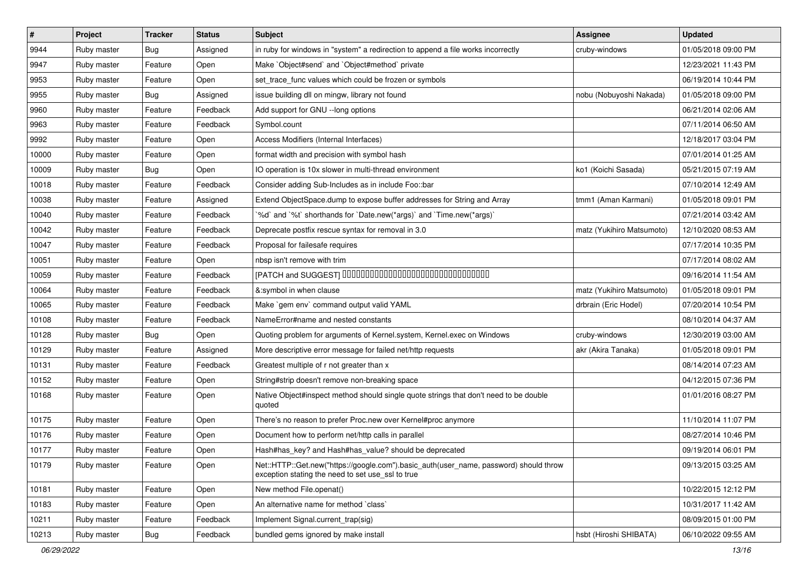| $\vert$ # | Project     | <b>Tracker</b> | <b>Status</b> | <b>Subject</b>                                                                                                                             | <b>Assignee</b>           | <b>Updated</b>      |
|-----------|-------------|----------------|---------------|--------------------------------------------------------------------------------------------------------------------------------------------|---------------------------|---------------------|
| 9944      | Ruby master | Bug            | Assigned      | in ruby for windows in "system" a redirection to append a file works incorrectly                                                           | cruby-windows             | 01/05/2018 09:00 PM |
| 9947      | Ruby master | Feature        | Open          | Make `Object#send` and `Object#method` private                                                                                             |                           | 12/23/2021 11:43 PM |
| 9953      | Ruby master | Feature        | Open          | set_trace_func values which could be frozen or symbols                                                                                     |                           | 06/19/2014 10:44 PM |
| 9955      | Ruby master | <b>Bug</b>     | Assigned      | issue building dll on mingw, library not found                                                                                             | nobu (Nobuyoshi Nakada)   | 01/05/2018 09:00 PM |
| 9960      | Ruby master | Feature        | Feedback      | Add support for GNU --long options                                                                                                         |                           | 06/21/2014 02:06 AM |
| 9963      | Ruby master | Feature        | Feedback      | Symbol.count                                                                                                                               |                           | 07/11/2014 06:50 AM |
| 9992      | Ruby master | Feature        | Open          | Access Modifiers (Internal Interfaces)                                                                                                     |                           | 12/18/2017 03:04 PM |
| 10000     | Ruby master | Feature        | Open          | format width and precision with symbol hash                                                                                                |                           | 07/01/2014 01:25 AM |
| 10009     | Ruby master | <b>Bug</b>     | Open          | IO operation is 10x slower in multi-thread environment                                                                                     | ko1 (Koichi Sasada)       | 05/21/2015 07:19 AM |
| 10018     | Ruby master | Feature        | Feedback      | Consider adding Sub-Includes as in include Foo::bar                                                                                        |                           | 07/10/2014 12:49 AM |
| 10038     | Ruby master | Feature        | Assigned      | Extend ObjectSpace.dump to expose buffer addresses for String and Array                                                                    | tmm1 (Aman Karmani)       | 01/05/2018 09:01 PM |
| 10040     | Ruby master | Feature        | Feedback      | '%d' and '%t' shorthands for 'Date.new(*args)' and 'Time.new(*args)'                                                                       |                           | 07/21/2014 03:42 AM |
| 10042     | Ruby master | Feature        | Feedback      | Deprecate postfix rescue syntax for removal in 3.0                                                                                         | matz (Yukihiro Matsumoto) | 12/10/2020 08:53 AM |
| 10047     | Ruby master | Feature        | Feedback      | Proposal for failesafe requires                                                                                                            |                           | 07/17/2014 10:35 PM |
| 10051     | Ruby master | Feature        | Open          | nbsp isn't remove with trim                                                                                                                |                           | 07/17/2014 08:02 AM |
| 10059     | Ruby master | Feature        | Feedback      | [PATCH and SUGGEST] 0000000000000000000000000000000                                                                                        |                           | 09/16/2014 11:54 AM |
| 10064     | Ruby master | Feature        | Feedback      | &:symbol in when clause                                                                                                                    | matz (Yukihiro Matsumoto) | 01/05/2018 09:01 PM |
| 10065     | Ruby master | Feature        | Feedback      | Make `gem env` command output valid YAML                                                                                                   | drbrain (Eric Hodel)      | 07/20/2014 10:54 PM |
| 10108     | Ruby master | Feature        | Feedback      | NameError#name and nested constants                                                                                                        |                           | 08/10/2014 04:37 AM |
| 10128     | Ruby master | Bug            | Open          | Quoting problem for arguments of Kernel.system, Kernel.exec on Windows                                                                     | cruby-windows             | 12/30/2019 03:00 AM |
| 10129     | Ruby master | Feature        | Assigned      | More descriptive error message for failed net/http requests                                                                                | akr (Akira Tanaka)        | 01/05/2018 09:01 PM |
| 10131     | Ruby master | Feature        | Feedback      | Greatest multiple of r not greater than x                                                                                                  |                           | 08/14/2014 07:23 AM |
| 10152     | Ruby master | Feature        | Open          | String#strip doesn't remove non-breaking space                                                                                             |                           | 04/12/2015 07:36 PM |
| 10168     | Ruby master | Feature        | Open          | Native Object#inspect method should single quote strings that don't need to be double<br>quoted                                            |                           | 01/01/2016 08:27 PM |
| 10175     | Ruby master | Feature        | Open          | There's no reason to prefer Proc.new over Kernel#proc anymore                                                                              |                           | 11/10/2014 11:07 PM |
| 10176     | Ruby master | Feature        | Open          | Document how to perform net/http calls in parallel                                                                                         |                           | 08/27/2014 10:46 PM |
| 10177     | Ruby master | Feature        | Open          | Hash#has_key? and Hash#has_value? should be deprecated                                                                                     |                           | 09/19/2014 06:01 PM |
| 10179     | Ruby master | Feature        | Open          | Net::HTTP::Get.new("https://google.com").basic_auth(user_name, password) should throw<br>exception stating the need to set use_ssl to true |                           | 09/13/2015 03:25 AM |
| 10181     | Ruby master | Feature        | Open          | New method File.openat()                                                                                                                   |                           | 10/22/2015 12:12 PM |
| 10183     | Ruby master | Feature        | Open          | An alternative name for method `class`                                                                                                     |                           | 10/31/2017 11:42 AM |
| 10211     | Ruby master | Feature        | Feedback      | Implement Signal.current_trap(sig)                                                                                                         |                           | 08/09/2015 01:00 PM |
| 10213     | Ruby master | Bug            | Feedback      | bundled gems ignored by make install                                                                                                       | hsbt (Hiroshi SHIBATA)    | 06/10/2022 09:55 AM |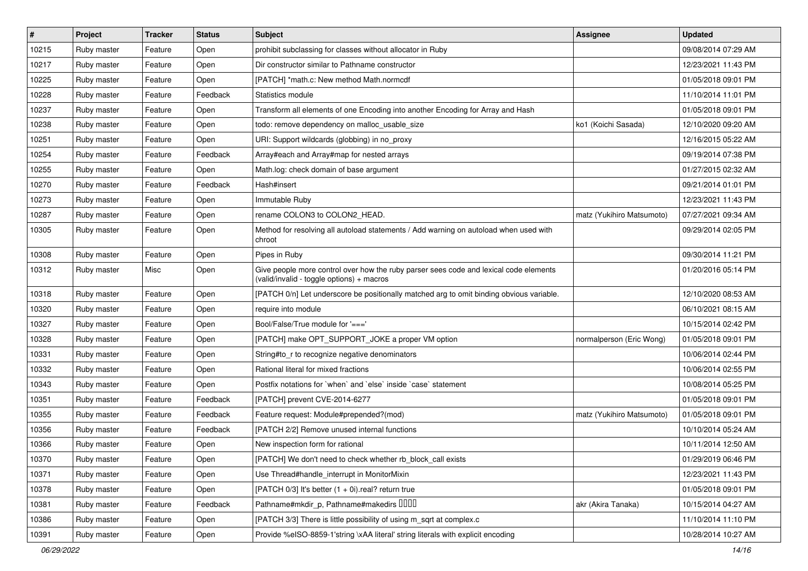| $\vert$ # | Project     | <b>Tracker</b> | <b>Status</b> | Subject                                                                                                                            | Assignee                  | <b>Updated</b>      |
|-----------|-------------|----------------|---------------|------------------------------------------------------------------------------------------------------------------------------------|---------------------------|---------------------|
| 10215     | Ruby master | Feature        | Open          | prohibit subclassing for classes without allocator in Ruby                                                                         |                           | 09/08/2014 07:29 AM |
| 10217     | Ruby master | Feature        | Open          | Dir constructor similar to Pathname constructor                                                                                    |                           | 12/23/2021 11:43 PM |
| 10225     | Ruby master | Feature        | Open          | [PATCH] *math.c: New method Math.normcdf                                                                                           |                           | 01/05/2018 09:01 PM |
| 10228     | Ruby master | Feature        | Feedback      | Statistics module                                                                                                                  |                           | 11/10/2014 11:01 PM |
| 10237     | Ruby master | Feature        | Open          | Transform all elements of one Encoding into another Encoding for Array and Hash                                                    |                           | 01/05/2018 09:01 PM |
| 10238     | Ruby master | Feature        | Open          | todo: remove dependency on malloc_usable_size                                                                                      | ko1 (Koichi Sasada)       | 12/10/2020 09:20 AM |
| 10251     | Ruby master | Feature        | Open          | URI: Support wildcards (globbing) in no_proxy                                                                                      |                           | 12/16/2015 05:22 AM |
| 10254     | Ruby master | Feature        | Feedback      | Array#each and Array#map for nested arrays                                                                                         |                           | 09/19/2014 07:38 PM |
| 10255     | Ruby master | Feature        | Open          | Math.log: check domain of base argument                                                                                            |                           | 01/27/2015 02:32 AM |
| 10270     | Ruby master | Feature        | Feedback      | Hash#insert                                                                                                                        |                           | 09/21/2014 01:01 PM |
| 10273     | Ruby master | Feature        | Open          | Immutable Ruby                                                                                                                     |                           | 12/23/2021 11:43 PM |
| 10287     | Ruby master | Feature        | Open          | rename COLON3 to COLON2 HEAD.                                                                                                      | matz (Yukihiro Matsumoto) | 07/27/2021 09:34 AM |
| 10305     | Ruby master | Feature        | Open          | Method for resolving all autoload statements / Add warning on autoload when used with<br>chroot                                    |                           | 09/29/2014 02:05 PM |
| 10308     | Ruby master | Feature        | Open          | Pipes in Ruby                                                                                                                      |                           | 09/30/2014 11:21 PM |
| 10312     | Ruby master | Misc           | Open          | Give people more control over how the ruby parser sees code and lexical code elements<br>(valid/invalid - toggle options) + macros |                           | 01/20/2016 05:14 PM |
| 10318     | Ruby master | Feature        | Open          | [PATCH 0/n] Let underscore be positionally matched arg to omit binding obvious variable.                                           |                           | 12/10/2020 08:53 AM |
| 10320     | Ruby master | Feature        | Open          | require into module                                                                                                                |                           | 06/10/2021 08:15 AM |
| 10327     | Ruby master | Feature        | Open          | Bool/False/True module for '==='                                                                                                   |                           | 10/15/2014 02:42 PM |
| 10328     | Ruby master | Feature        | Open          | [PATCH] make OPT_SUPPORT_JOKE a proper VM option                                                                                   | normalperson (Eric Wong)  | 01/05/2018 09:01 PM |
| 10331     | Ruby master | Feature        | Open          | String#to_r to recognize negative denominators                                                                                     |                           | 10/06/2014 02:44 PM |
| 10332     | Ruby master | Feature        | Open          | Rational literal for mixed fractions                                                                                               |                           | 10/06/2014 02:55 PM |
| 10343     | Ruby master | Feature        | Open          | Postfix notations for `when` and `else` inside `case` statement                                                                    |                           | 10/08/2014 05:25 PM |
| 10351     | Ruby master | Feature        | Feedback      | [PATCH] prevent CVE-2014-6277                                                                                                      |                           | 01/05/2018 09:01 PM |
| 10355     | Ruby master | Feature        | Feedback      | Feature request: Module#prepended?(mod)                                                                                            | matz (Yukihiro Matsumoto) | 01/05/2018 09:01 PM |
| 10356     | Ruby master | Feature        | Feedback      | [PATCH 2/2] Remove unused internal functions                                                                                       |                           | 10/10/2014 05:24 AM |
| 10366     | Ruby master | Feature        | Open          | New inspection form for rational                                                                                                   |                           | 10/11/2014 12:50 AM |
| 10370     | Ruby master | Feature        | Open          | [PATCH] We don't need to check whether rb_block_call exists                                                                        |                           | 01/29/2019 06:46 PM |
| 10371     | Ruby master | Feature        | Open          | Use Thread#handle interrupt in MonitorMixin                                                                                        |                           | 12/23/2021 11:43 PM |
| 10378     | Ruby master | Feature        | Open          | [PATCH 0/3] It's better (1 + 0i).real? return true                                                                                 |                           | 01/05/2018 09:01 PM |
| 10381     | Ruby master | Feature        | Feedback      | Pathname#mkdir_p, Pathname#makedirs DDDD                                                                                           | akr (Akira Tanaka)        | 10/15/2014 04:27 AM |
| 10386     | Ruby master | Feature        | Open          | [PATCH 3/3] There is little possibility of using m_sqrt at complex.c                                                               |                           | 11/10/2014 11:10 PM |
| 10391     | Ruby master | Feature        | Open          | Provide %eISO-8859-1'string \xAA literal' string literals with explicit encoding                                                   |                           | 10/28/2014 10:27 AM |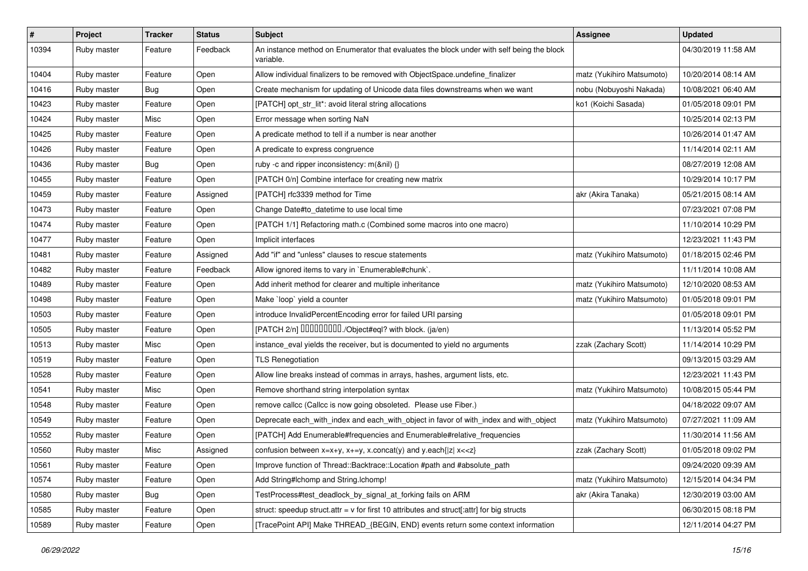| #     | Project     | <b>Tracker</b> | <b>Status</b> | <b>Subject</b>                                                                                         | <b>Assignee</b>           | <b>Updated</b>      |
|-------|-------------|----------------|---------------|--------------------------------------------------------------------------------------------------------|---------------------------|---------------------|
| 10394 | Ruby master | Feature        | Feedback      | An instance method on Enumerator that evaluates the block under with self being the block<br>variable. |                           | 04/30/2019 11:58 AM |
| 10404 | Ruby master | Feature        | Open          | Allow individual finalizers to be removed with ObjectSpace.undefine finalizer                          | matz (Yukihiro Matsumoto) | 10/20/2014 08:14 AM |
| 10416 | Ruby master | Bug            | Open          | Create mechanism for updating of Unicode data files downstreams when we want                           | nobu (Nobuyoshi Nakada)   | 10/08/2021 06:40 AM |
| 10423 | Ruby master | Feature        | Open          | [PATCH] opt_str_lit*: avoid literal string allocations                                                 | ko1 (Koichi Sasada)       | 01/05/2018 09:01 PM |
| 10424 | Ruby master | Misc           | Open          | Error message when sorting NaN                                                                         |                           | 10/25/2014 02:13 PM |
| 10425 | Ruby master | Feature        | Open          | A predicate method to tell if a number is near another                                                 |                           | 10/26/2014 01:47 AM |
| 10426 | Ruby master | Feature        | Open          | A predicate to express congruence                                                                      |                           | 11/14/2014 02:11 AM |
| 10436 | Ruby master | Bug            | Open          | ruby -c and ripper inconsistency: m(&nil) {}                                                           |                           | 08/27/2019 12:08 AM |
| 10455 | Ruby master | Feature        | Open          | [PATCH 0/n] Combine interface for creating new matrix                                                  |                           | 10/29/2014 10:17 PM |
| 10459 | Ruby master | Feature        | Assigned      | [PATCH] rfc3339 method for Time                                                                        | akr (Akira Tanaka)        | 05/21/2015 08:14 AM |
| 10473 | Ruby master | Feature        | Open          | Change Date#to datetime to use local time                                                              |                           | 07/23/2021 07:08 PM |
| 10474 | Ruby master | Feature        | Open          | [PATCH 1/1] Refactoring math.c (Combined some macros into one macro)                                   |                           | 11/10/2014 10:29 PM |
| 10477 | Ruby master | Feature        | Open          | Implicit interfaces                                                                                    |                           | 12/23/2021 11:43 PM |
| 10481 | Ruby master | Feature        | Assigned      | Add "if" and "unless" clauses to rescue statements                                                     | matz (Yukihiro Matsumoto) | 01/18/2015 02:46 PM |
| 10482 | Ruby master | Feature        | Feedback      | Allow ignored items to vary in `Enumerable#chunk`.                                                     |                           | 11/11/2014 10:08 AM |
| 10489 | Ruby master | Feature        | Open          | Add inherit method for clearer and multiple inheritance                                                | matz (Yukihiro Matsumoto) | 12/10/2020 08:53 AM |
| 10498 | Ruby master | Feature        | Open          | Make `loop` yield a counter                                                                            | matz (Yukihiro Matsumoto) | 01/05/2018 09:01 PM |
| 10503 | Ruby master | Feature        | Open          | introduce InvalidPercentEncoding error for failed URI parsing                                          |                           | 01/05/2018 09:01 PM |
| 10505 | Ruby master | Feature        | Open          | [PATCH 2/n] DDDDDDDD./Object#eql? with block. (ja/en)                                                  |                           | 11/13/2014 05:52 PM |
| 10513 | Ruby master | Misc           | Open          | instance_eval yields the receiver, but is documented to yield no arguments                             | zzak (Zachary Scott)      | 11/14/2014 10:29 PM |
| 10519 | Ruby master | Feature        | Open          | <b>TLS Renegotiation</b>                                                                               |                           | 09/13/2015 03:29 AM |
| 10528 | Ruby master | Feature        | Open          | Allow line breaks instead of commas in arrays, hashes, argument lists, etc.                            |                           | 12/23/2021 11:43 PM |
| 10541 | Ruby master | Misc           | Open          | Remove shorthand string interpolation syntax                                                           | matz (Yukihiro Matsumoto) | 10/08/2015 05:44 PM |
| 10548 | Ruby master | Feature        | Open          | remove callcc (Callcc is now going obsoleted. Please use Fiber.)                                       |                           | 04/18/2022 09:07 AM |
| 10549 | Ruby master | Feature        | Open          | Deprecate each_with_index and each_with_object in favor of with_index and with_object                  | matz (Yukihiro Matsumoto) | 07/27/2021 11:09 AM |
| 10552 | Ruby master | Feature        | Open          | [PATCH] Add Enumerable#frequencies and Enumerable#relative_frequencies                                 |                           | 11/30/2014 11:56 AM |
| 10560 | Ruby master | Misc           | Assigned      | confusion between $x=x+y$ , $x+=y$ , x.concat(y) and y.each{ z  $x<}$                                  | zzak (Zachary Scott)      | 01/05/2018 09:02 PM |
| 10561 | Ruby master | Feature        | Open          | Improve function of Thread::Backtrace::Location #path and #absolute path                               |                           | 09/24/2020 09:39 AM |
| 10574 | Ruby master | Feature        | Open          | Add String#Ichomp and String.Ichomp!                                                                   | matz (Yukihiro Matsumoto) | 12/15/2014 04:34 PM |
| 10580 | Ruby master | <b>Bug</b>     | Open          | TestProcess#test_deadlock_by_signal_at_forking fails on ARM                                            | akr (Akira Tanaka)        | 12/30/2019 03:00 AM |
| 10585 | Ruby master | Feature        | Open          | struct: speedup struct.attr = $v$ for first 10 attributes and struct[:attr] for big structs            |                           | 06/30/2015 08:18 PM |
| 10589 | Ruby master | Feature        | Open          | [TracePoint API] Make THREAD_{BEGIN, END} events return some context information                       |                           | 12/11/2014 04:27 PM |